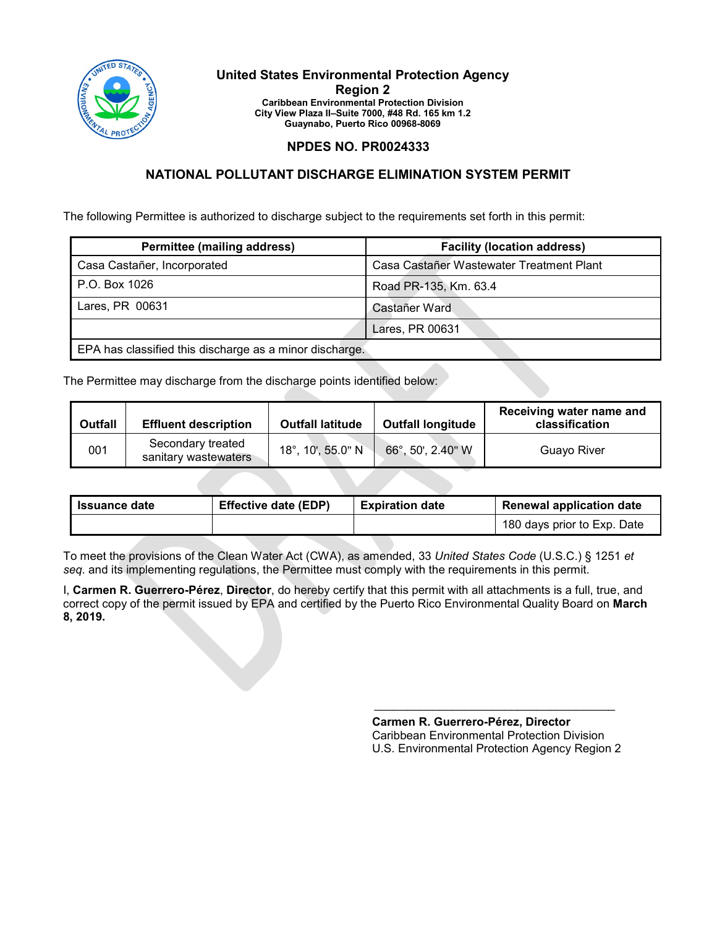

#### **United States Environmental Protection Agency Region 2 Caribbean Environmental Protection Division City View Plaza II–Suite 7000, #48 Rd. 165 km 1.2 Guaynabo, Puerto Rico 00968-8069**

### **NPDES NO. PR0024333**

## **NATIONAL POLLUTANT DISCHARGE ELIMINATION SYSTEM PERMIT**

The following Permittee is authorized to discharge subject to the requirements set forth in this permit:

| <b>Permittee (mailing address)</b>                      | <b>Facility (location address)</b>       |
|---------------------------------------------------------|------------------------------------------|
| Casa Castañer, Incorporated                             | Casa Castañer Wastewater Treatment Plant |
| P.O. Box 1026                                           | Road PR-135, Km. 63.4                    |
| Lares, PR 00631                                         | Castañer Ward                            |
|                                                         | Lares, PR 00631                          |
| EPA has classified this discharge as a minor discharge. |                                          |

The Permittee may discharge from the discharge points identified below:

| <b>Outfall</b> | <b>Effluent description</b>               | <b>Outfall latitude</b> | <b>Outfall longitude</b> | Receiving water name and<br>classification |
|----------------|-------------------------------------------|-------------------------|--------------------------|--------------------------------------------|
| 001            | Secondary treated<br>sanitary wastewaters | 18°, 10', 55.0" N       | 66°, 50', 2.40" W        | Guavo River                                |

| <b>Issuance date</b> | <b>Effective date (EDP)</b> | <b>Expiration date</b> | <b>Renewal application date</b> |
|----------------------|-----------------------------|------------------------|---------------------------------|
|                      |                             |                        | 180 days prior to Exp. Date     |

To meet the provisions of the Clean Water Act (CWA), as amended, 33 *United States Code* (U.S.C.) § 1251 *et seq*. and its implementing regulations, the Permittee must comply with the requirements in this permit.

I, **Carmen R. Guerrero-Pérez**, **Director**, do hereby certify that this permit with all attachments is a full, true, and correct copy of the permit issued by EPA and certified by the Puerto Rico Environmental Quality Board on **March 8, 2019.**

> **Carmen R. Guerrero-Pérez, Director**  Caribbean Environmental Protection Division U.S. Environmental Protection Agency Region 2

 $\mathcal{L}_\text{max}$  , and the set of the set of the set of the set of the set of the set of the set of the set of the set of the set of the set of the set of the set of the set of the set of the set of the set of the set of the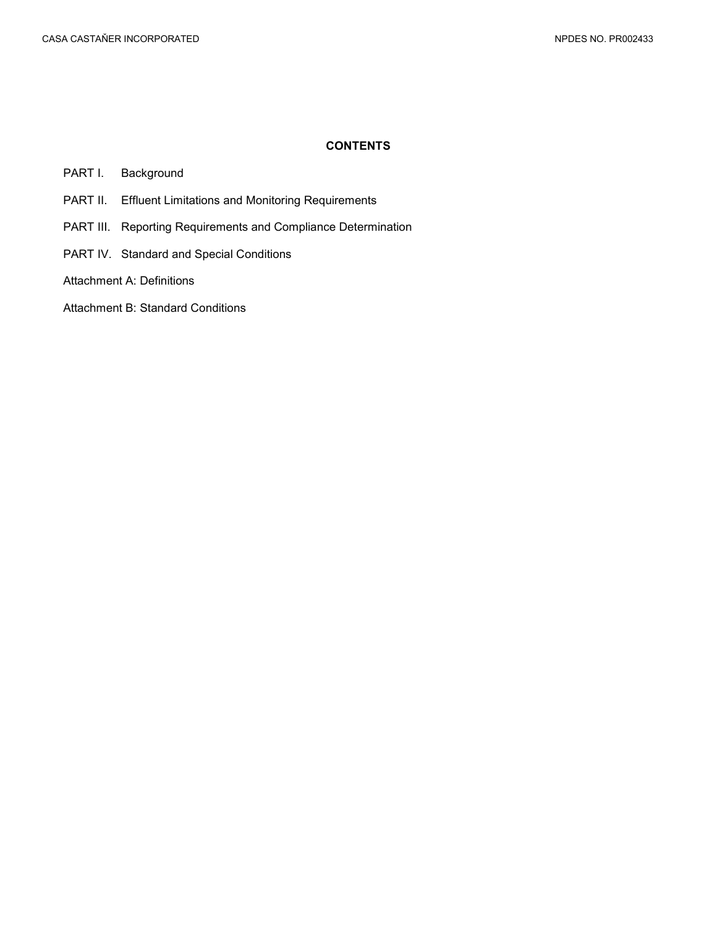#### **CONTENTS**

- PART I. [Background](#page-2-0)
- PART II. [Effluent Limitations and Monitoring Requirements](#page-3-0)
- PART III. [Reporting Requirements and Compliance Determination](#page-8-0)
- PART IV. [Standard and Special Conditions](#page-10-0)
- [Attachment A: Definitions](#page-15-0)
- [Attachment B: Standard Conditions](#page-18-0)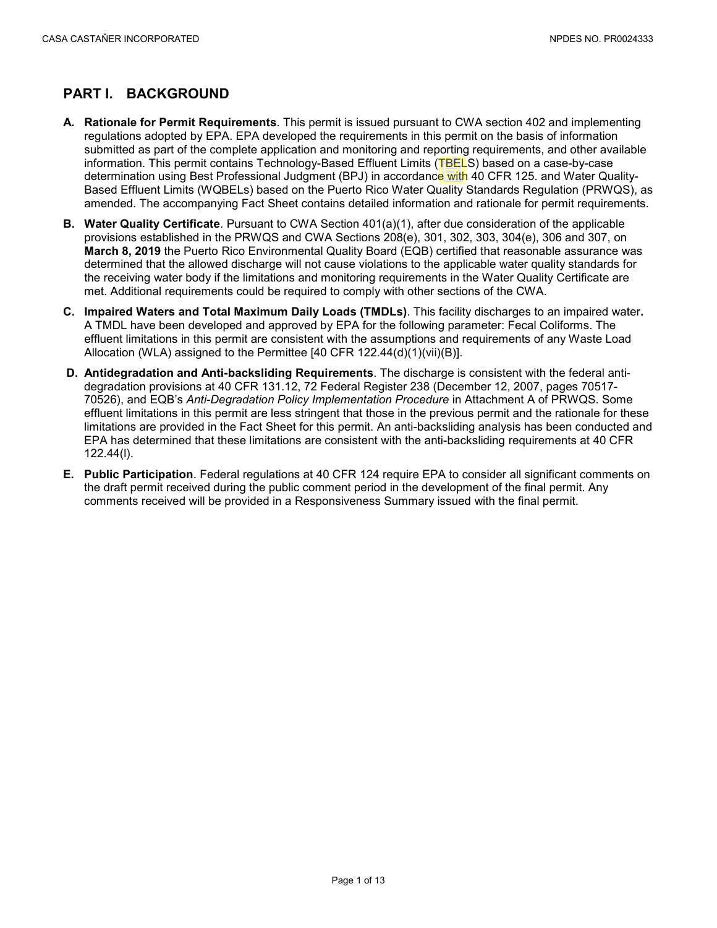# <span id="page-2-0"></span>**PART I. BACKGROUND**

- **A. Rationale for Permit Requirements**. This permit is issued pursuant to CWA section 402 and implementing regulations adopted by EPA. EPA developed the requirements in this permit on the basis of information submitted as part of the complete application and monitoring and reporting requirements, and other available information. This permit contains Technology-Based Effluent Limits (TBELS) based on a case-by-case determination using Best Professional Judgment (BPJ) in accordance with 40 CFR 125. and Water Quality-Based Effluent Limits (WQBELs) based on the Puerto Rico Water Quality Standards Regulation (PRWQS), as amended. The accompanying Fact Sheet contains detailed information and rationale for permit requirements.
- **B. Water Quality Certificate**. Pursuant to CWA Section 401(a)(1), after due consideration of the applicable provisions established in the PRWQS and CWA Sections 208(e), 301, 302, 303, 304(e), 306 and 307, on **March 8, 2019** the Puerto Rico Environmental Quality Board (EQB) certified that reasonable assurance was determined that the allowed discharge will not cause violations to the applicable water quality standards for the receiving water body if the limitations and monitoring requirements in the Water Quality Certificate are met. Additional requirements could be required to comply with other sections of the CWA.
- **C. Impaired Waters and Total Maximum Daily Loads (TMDLs)**. This facility discharges to an impaired water**.**  A TMDL have been developed and approved by EPA for the following parameter: Fecal Coliforms. The effluent limitations in this permit are consistent with the assumptions and requirements of any Waste Load Allocation (WLA) assigned to the Permittee  $[40 \text{ CFR } 122.44(d)(1)(vi)(B)].$
- **D. Antidegradation and Anti-backsliding Requirements**. The discharge is consistent with the federal antidegradation provisions at 40 CFR 131.12, 72 Federal Register 238 (December 12, 2007, pages 70517- 70526), and EQB's *Anti-Degradation Policy Implementation Procedure* in Attachment A of PRWQS. Some effluent limitations in this permit are less stringent that those in the previous permit and the rationale for these limitations are provided in the Fact Sheet for this permit. An anti-backsliding analysis has been conducted and EPA has determined that these limitations are consistent with the anti-backsliding requirements at 40 CFR 122.44(l).
- **E. Public Participation**. Federal regulations at 40 CFR 124 require EPA to consider all significant comments on the draft permit received during the public comment period in the development of the final permit. Any comments received will be provided in a Responsiveness Summary issued with the final permit.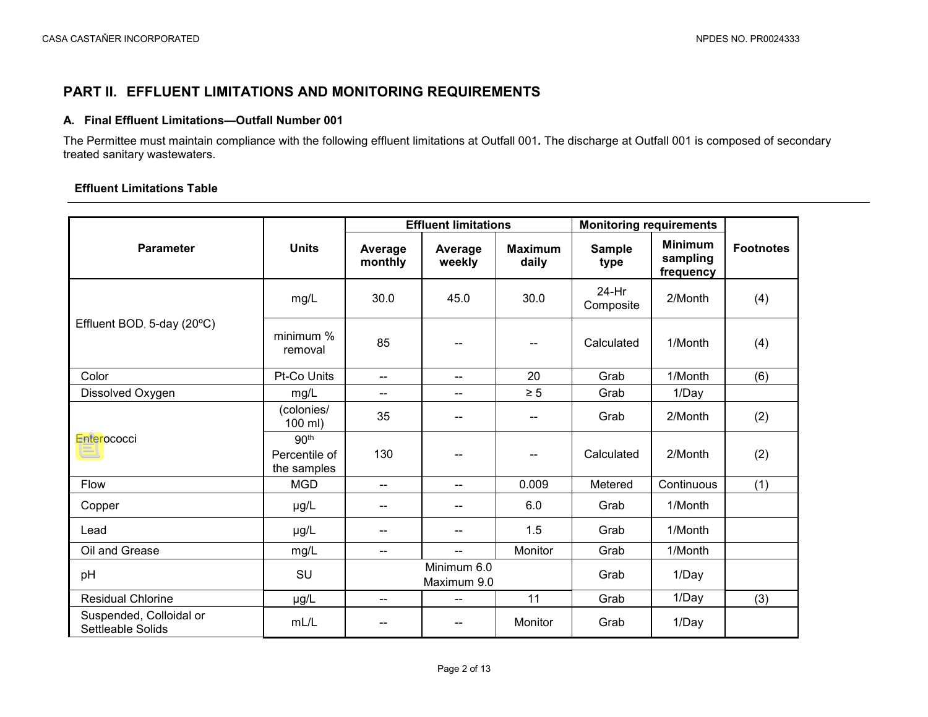# **PART II. EFFLUENT LIMITATIONS AND MONITORING REQUIREMENTS**

#### **A. Final Effluent Limitations—Outfall Number 001**

The Permittee must maintain compliance with the following effluent limitations at Outfall 001**.** The discharge at Outfall 001 is composed of secondary treated sanitary wastewaters.

### **Effluent Limitations Table**

<span id="page-3-0"></span>

|                                              |                                                  |                    | <b>Effluent limitations</b> |                         | <b>Monitoring requirements</b> |                                         |                  |
|----------------------------------------------|--------------------------------------------------|--------------------|-----------------------------|-------------------------|--------------------------------|-----------------------------------------|------------------|
| <b>Parameter</b>                             | <b>Units</b>                                     | Average<br>monthly | Average<br>weekly           | <b>Maximum</b><br>daily | <b>Sample</b><br>type          | <b>Minimum</b><br>sampling<br>frequency | <b>Footnotes</b> |
|                                              | mg/L                                             | 30.0               | 45.0                        | 30.0                    | 24-Hr<br>Composite             | 2/Month                                 | (4)              |
| Effluent BOD, 5-day (20°C)                   | minimum %<br>removal                             | 85                 |                             | --                      | Calculated                     | 1/Month                                 | (4)              |
| Color                                        | Pt-Co Units                                      | $-$                | $-$                         | 20                      | Grab                           | 1/Month                                 | (6)              |
| Dissolved Oxygen                             | mg/L                                             | --                 | $\overline{a}$              | $\geq 5$                | Grab                           | 1/Day                                   |                  |
|                                              | (colonies/<br>100 ml)                            | 35                 |                             | --                      | Grab                           | 2/Month                                 | (2)              |
| Enterococci                                  | 90 <sup>th</sup><br>Percentile of<br>the samples | 130                |                             | --                      | Calculated                     | 2/Month                                 | (2)              |
| Flow                                         | <b>MGD</b>                                       | --                 | $-$                         | 0.009                   | Metered                        | Continuous                              | (1)              |
| Copper                                       | µg/L                                             | --                 |                             | 6.0                     | Grab                           | 1/Month                                 |                  |
| Lead                                         | µg/L                                             |                    |                             | 1.5                     | Grab                           | 1/Month                                 |                  |
| Oil and Grease                               | mg/L                                             | --                 | $\overline{a}$              | Monitor                 | Grab                           | 1/Month                                 |                  |
| pH                                           | SU                                               |                    | Minimum 6.0<br>Maximum 9.0  |                         | Grab                           | 1/Day                                   |                  |
| <b>Residual Chlorine</b>                     | µg/L                                             | --                 | $\overline{\phantom{a}}$    | 11                      | Grab                           | 1/Day                                   | (3)              |
| Suspended, Colloidal or<br>Settleable Solids | mL/L                                             |                    |                             | Monitor                 | Grab                           | 1/Day                                   |                  |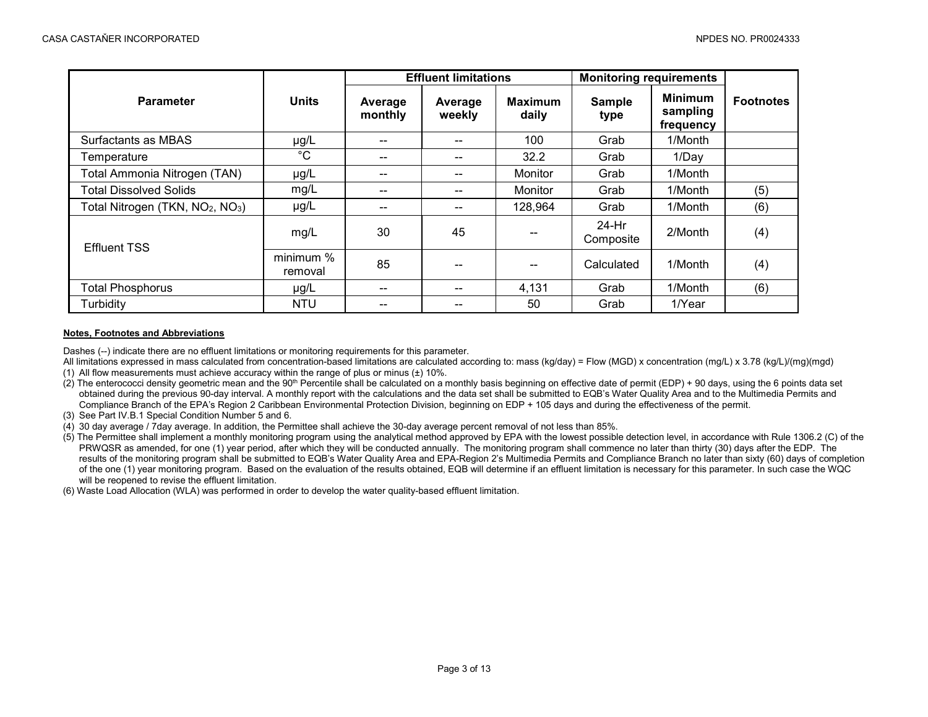|                                                          |                      |                    | <b>Effluent limitations</b> |                         | <b>Monitoring requirements</b> |                                         |                  |
|----------------------------------------------------------|----------------------|--------------------|-----------------------------|-------------------------|--------------------------------|-----------------------------------------|------------------|
| <b>Parameter</b>                                         | <b>Units</b>         | Average<br>monthly | Average<br>weekly           | <b>Maximum</b><br>daily | <b>Sample</b><br>type          | <b>Minimum</b><br>sampling<br>frequency | <b>Footnotes</b> |
| Surfactants as MBAS                                      | µg/L                 | --                 | --                          | 100                     | Grab                           | 1/Month                                 |                  |
| Temperature                                              | $^{\circ}C$          | --                 | --                          | 32.2                    | Grab                           | 1/Day                                   |                  |
| Total Ammonia Nitrogen (TAN)                             | µg/L                 | --                 | --                          | Monitor                 | Grab                           | 1/Month                                 |                  |
| <b>Total Dissolved Solids</b>                            | mg/L                 | --                 | --                          | Monitor                 | Grab                           | 1/Month                                 | (5)              |
| Total Nitrogen (TKN, NO <sub>2</sub> , NO <sub>3</sub> ) | $\mu$ g/L            | --                 | --                          | 128,964                 | Grab                           | 1/Month                                 | (6)              |
| <b>Effluent TSS</b>                                      | mg/L                 | 30                 | 45                          |                         | 24-Hr<br>Composite             | 2/Month                                 | (4)              |
|                                                          | minimum %<br>removal | 85                 |                             |                         | Calculated                     | 1/Month                                 | (4)              |
| <b>Total Phosphorus</b>                                  | $\mu$ g/L            | --                 | --                          | 4,131                   | Grab                           | 1/Month                                 | (6)              |
| Turbidity                                                | <b>NTU</b>           | --                 | --                          | 50                      | Grab                           | 1/Year                                  |                  |

#### **Notes, Footnotes and Abbreviations**

Dashes (--) indicate there are no effluent limitations or monitoring requirements for this parameter.

- All limitations expressed in mass calculated from concentration-based limitations are calculated according to: mass (kg/day) = Flow (MGD) x concentration (mg/L) x 3.78 (kg/L)/(mg)(mgd)
- (1) All flow measurements must achieve accuracy within the range of plus or minus  $(\pm)$  10%.
- $(2)$  The enterococci density geometric mean and the 90<sup>th</sup> Percentile shall be calculated on a monthly basis beginning on effective date of permit (EDP) + 90 days, using the 6 points data set obtained during the previous 90-day interval. A monthly report with the calculations and the data set shall be submitted to EQB's Water Quality Area and to the Multimedia Permits and Compliance Branch of the EPA's Region 2 Caribbean Environmental Protection Division, beginning on EDP + 105 days and during the effectiveness of the permit.
- (3) See Part IV.B.1 Special Condition Number 5 and 6.
- (4) 30 day average / 7day average. In addition, the Permittee shall achieve the 30-day average percent removal of not less than 85%.
- (5) The Permittee shall implement a monthly monitoring program using the analytical method approved by EPA with the lowest possible detection level, in accordance with Rule 1306.2 (C) of the PRWQSR as amended, for one (1) year period, after which they will be conducted annually. The monitoring program shall commence no later than thirty (30) days after the EDP. The results of the monitoring program shall be submitted to EQB's Water Quality Area and EPA-Region 2's Multimedia Permits and Compliance Branch no later than sixty (60) days of completion of the one (1) year monitoring program. Based on the evaluation of the results obtained, EQB will determine if an effluent limitation is necessary for this parameter. In such case the WQC will be reopened to revise the effluent limitation.
- (6) Waste Load Allocation (WLA) was performed in order to develop the water quality-based effluent limitation.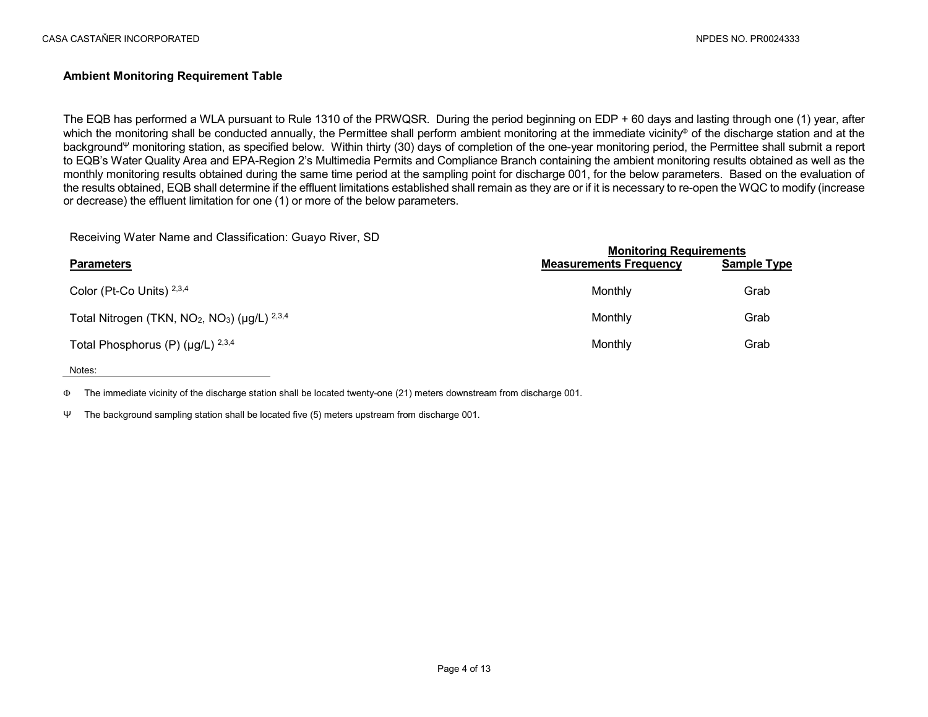### **Ambient Monitoring Requirement Table**

The EQB has performed a WLA pursuant to Rule 1310 of the PRWQSR. During the period beginning on EDP + 60 days and lasting through one (1) year, after which the monitoring shall be conducted annually, the Permittee shall perform ambient monitoring at the immediate vicinity<sup>®</sup> of the discharge station and at the background<sup>Ψ</sup> monitoring station, as specified below. Within thirty (30) days of completion of the one-year monitoring period, the Permittee shall submit a report to EQB's Water Quality Area and EPA-Region 2's Multimedia Permits and Compliance Branch containing the ambient monitoring results obtained as well as the monthly monitoring results obtained during the same time period at the sampling point for discharge 001, for the below parameters. Based on the evaluation of the results obtained, EQB shall determine if the effluent limitations established shall remain as they are or if it is necessary to re-open the WQC to modify (increase or decrease) the effluent limitation for one (1) or more of the below parameters.

#### Receiving Water Name and Classification: Guayo River, SD

|                                                              | <b>Monitoring Requirements</b> |                    |  |
|--------------------------------------------------------------|--------------------------------|--------------------|--|
| <b>Parameters</b>                                            | <b>Measurements Frequency</b>  | <b>Sample Type</b> |  |
| Color (Pt-Co Units) 2,3,4                                    | Monthly                        | Grab               |  |
| Total Nitrogen (TKN, $NO2$ , $NO3$ ) ( $\mu$ g/L) $^{2,3,4}$ | Monthly                        | Grab               |  |
| Total Phosphorus (P) ( $\mu$ g/L) $^{2,3,4}$                 | Monthly                        | Grab               |  |

#### Notes:

Φ The immediate vicinity of the discharge station shall be located twenty-one (21) meters downstream from discharge 001.

Ψ The background sampling station shall be located five (5) meters upstream from discharge 001.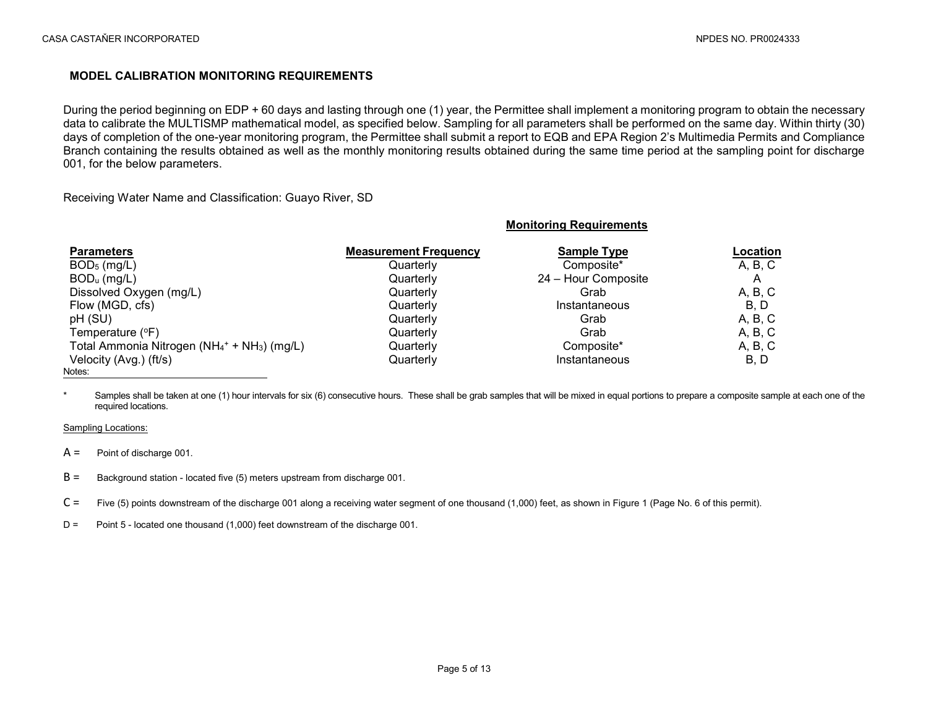### **MODEL CALIBRATION MONITORING REQUIREMENTS**

During the period beginning on EDP + 60 days and lasting through one (1) year, the Permittee shall implement a monitoring program to obtain the necessary data to calibrate the MULTISMP mathematical model, as specified below. Sampling for all parameters shall be performed on the same day. Within thirty (30) days of completion of the one-year monitoring program, the Permittee shall submit a report to EQB and EPA Region 2's Multimedia Permits and Compliance Branch containing the results obtained as well as the monthly monitoring results obtained during the same time period at the sampling point for discharge 001, for the below parameters.

**Monitoring Requirements**

Receiving Water Name and Classification: Guayo River, SD

| <b>Parameters</b>                                                    | <b>Measurement Frequency</b> | <b>Sample Type</b>  | Location |
|----------------------------------------------------------------------|------------------------------|---------------------|----------|
| $BOD5$ (mg/L)                                                        | Quarterly                    | Composite*          | A, B, C  |
| $BODu$ (mg/L)                                                        | Quarterly                    | 24 - Hour Composite | A        |
| Dissolved Oxygen (mg/L)                                              | Quarterly                    | Grab                | A, B, C  |
| Flow (MGD, cfs)                                                      | Quarterly                    | Instantaneous       | B, D     |
| pH (SU)                                                              | Quarterly                    | Grab                | A, B, C  |
| Temperature $(°F)$                                                   | Quarterly                    | Grab                | A, B, C  |
| Total Ammonia Nitrogen (NH <sub>4</sub> + + NH <sub>3</sub> ) (mg/L) | Quarterly                    | Composite*          | A, B, C  |
| Velocity (Avg.) (ft/s)                                               | Quarterly                    | Instantaneous       | B, D     |
| Notes:                                                               |                              |                     |          |

Samples shall be taken at one (1) hour intervals for six (6) consecutive hours. These shall be grab samples that will be mixed in equal portions to prepare a composite sample at each one of the required locations.

#### Sampling Locations:

 $A =$  Point of discharge 001.

- $B =$  Background station located five (5) meters upstream from discharge 001.
- $C =$  Five (5) points downstream of the discharge 001 along a receiving water segment of one thousand (1,000) feet, as shown in Figure 1 (Page No. 6 of this permit).
- D = Point 5 located one thousand (1,000) feet downstream of the discharge 001.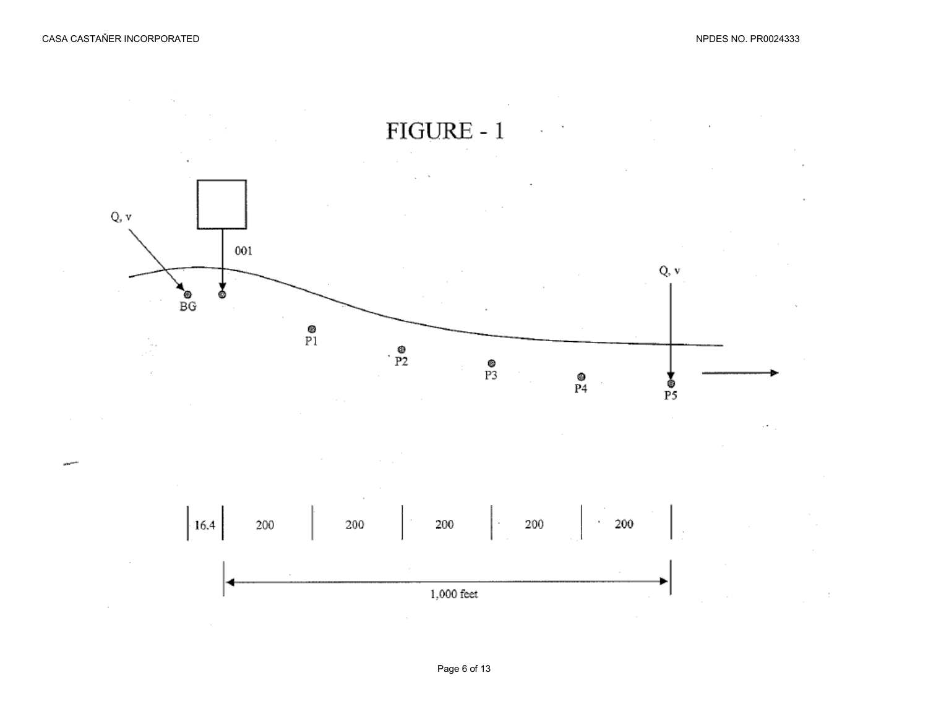$\sim$ 

**State** 

 $\sim$ 

 $\sim$ 





 $\sim$ 

 $\sim$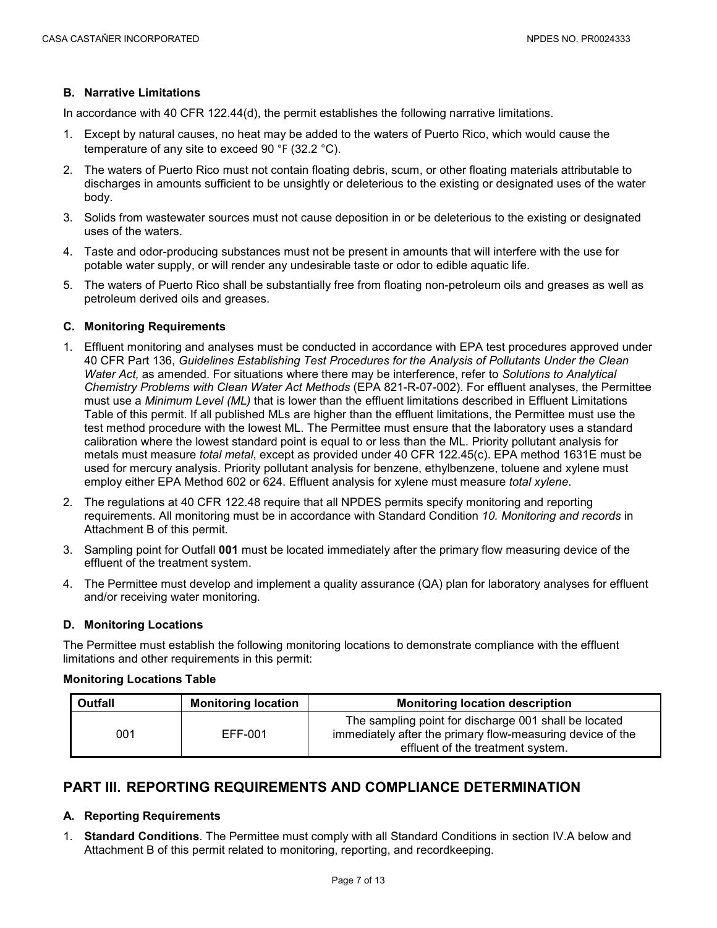### **B. Narrative Limitations**

In accordance with 40 CFR 122.44(d), the permit establishes the following narrative limitations.

- 1. Except by natural causes, no heat may be added to the waters of Puerto Rico, which would cause the temperature of any site to exceed 90 °F (32.2 °C).
- 2. The waters of Puerto Rico must not contain floating debris, scum, or other floating materials attributable to discharges in amounts sufficient to be unsightly or deleterious to the existing or designated uses of the water body.
- 3. Solids from wastewater sources must not cause deposition in or be deleterious to the existing or designated uses of the waters.
- 4. Taste and odor-producing substances must not be present in amounts that will interfere with the use for potable water supply, or will render any undesirable taste or odor to edible aquatic life.
- 5. The waters of Puerto Rico shall be substantially free from floating non-petroleum oils and greases as well as petroleum derived oils and greases.

#### **C. Monitoring Requirements**

- 1. Effluent monitoring and analyses must be conducted in accordance with EPA test procedures approved under 40 CFR Part 136, *Guidelines Establishing Test Procedures for the Analysis of Pollutants Under the Clean Water Act,* as amended. For situations where there may be interference, refer to *Solutions to Analytical Chemistry Problems with Clean Water Act Methods* (EPA 821-R-07-002). For effluent analyses, the Permittee must use a *Minimum Level (ML)* that is lower than the effluent limitations described in Effluent Limitations Table of this permit. If all published MLs are higher than the effluent limitations, the Permittee must use the test method procedure with the lowest ML. The Permittee must ensure that the laboratory uses a standard calibration where the lowest standard point is equal to or less than the ML. Priority pollutant analysis for metals must measure *total metal*, except as provided under 40 CFR 122.45(c). EPA method 1631E must be used for mercury analysis. Priority pollutant analysis for benzene, ethylbenzene, toluene and xylene must employ either EPA Method 602 or 624. Effluent analysis for xylene must measure *total xylene*.
- 2. The regulations at 40 CFR 122.48 require that all NPDES permits specify monitoring and reporting requirements. All monitoring must be in accordance with Standard Condition *10. Monitoring and records* in Attachment B of this permit.
- 3. Sampling point for Outfall **001** must be located immediately after the primary flow measuring device of the effluent of the treatment system.
- 4. The Permittee must develop and implement a quality assurance (QA) plan for laboratory analyses for effluent and/or receiving water monitoring.

#### **D. Monitoring Locations**

The Permittee must establish the following monitoring locations to demonstrate compliance with the effluent limitations and other requirements in this permit:

#### **Monitoring Locations Table**

| Outfall | <b>Monitoring location</b> | <b>Monitoring location description</b>                                                                                                                   |  |
|---------|----------------------------|----------------------------------------------------------------------------------------------------------------------------------------------------------|--|
| 001     | EFF-001                    | The sampling point for discharge 001 shall be located<br>immediately after the primary flow-measuring device of the<br>effluent of the treatment system. |  |

## <span id="page-8-0"></span>**PART III. REPORTING REQUIREMENTS AND COMPLIANCE DETERMINATION**

#### **A. Reporting Requirements**

1. **Standard Conditions**. The Permittee must comply with all Standard Conditions in section IV.A below and Attachment B of this permit related to monitoring, reporting, and recordkeeping.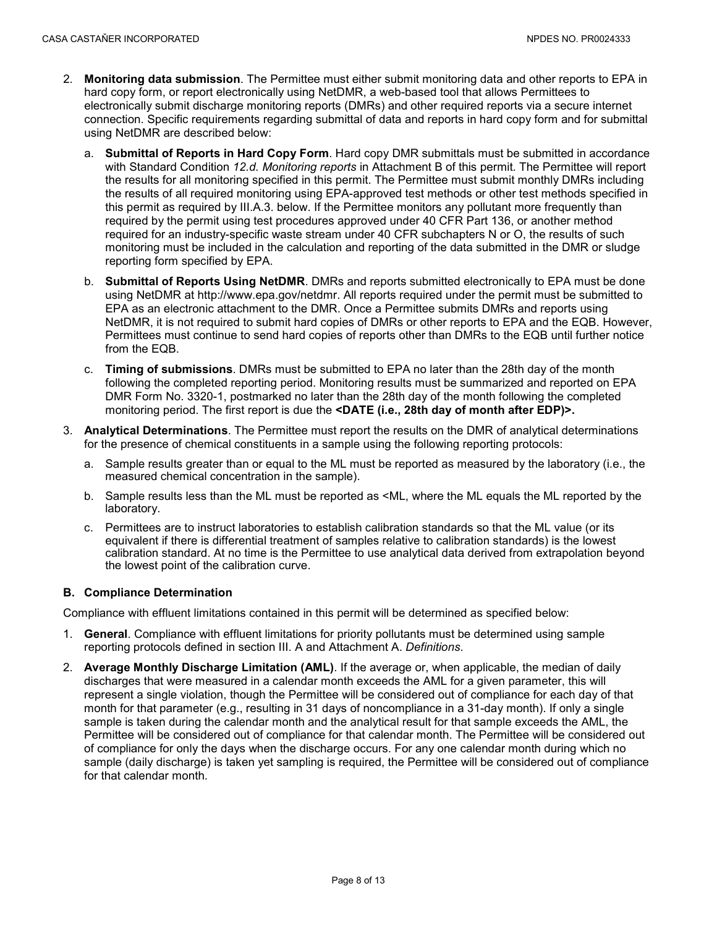- 2. **Monitoring data submission**. The Permittee must either submit monitoring data and other reports to EPA in hard copy form, or report electronically using NetDMR, a web-based tool that allows Permittees to electronically submit discharge monitoring reports (DMRs) and other required reports via a secure internet connection. Specific requirements regarding submittal of data and reports in hard copy form and for submittal using NetDMR are described below:
	- a. **Submittal of Reports in Hard Copy Form**. Hard copy DMR submittals must be submitted in accordance with Standard Condition *12.d. Monitoring reports* in Attachment B of this permit. The Permittee will report the results for all monitoring specified in this permit. The Permittee must submit monthly DMRs including the results of all required monitoring using EPA-approved test methods or other test methods specified in this permit as required by III.A.3. below. If the Permittee monitors any pollutant more frequently than required by the permit using test procedures approved under 40 CFR Part 136, or another method required for an industry-specific waste stream under 40 CFR subchapters N or O, the results of such monitoring must be included in the calculation and reporting of the data submitted in the DMR or sludge reporting form specified by EPA.
	- b. **Submittal of Reports Using NetDMR**. DMRs and reports submitted electronically to EPA must be done using NetDMR at http://www.epa.gov/netdmr. All reports required under the permit must be submitted to EPA as an electronic attachment to the DMR. Once a Permittee submits DMRs and reports using NetDMR, it is not required to submit hard copies of DMRs or other reports to EPA and the EQB. However, Permittees must continue to send hard copies of reports other than DMRs to the EQB until further notice from the EQB.
	- c. **Timing of submissions**. DMRs must be submitted to EPA no later than the 28th day of the month following the completed reporting period. Monitoring results must be summarized and reported on EPA DMR Form No. 3320-1, postmarked no later than the 28th day of the month following the completed monitoring period. The first report is due the **<DATE (i.e., 28th day of month after EDP)>.**
- 3. **Analytical Determinations**. The Permittee must report the results on the DMR of analytical determinations for the presence of chemical constituents in a sample using the following reporting protocols:
	- a. Sample results greater than or equal to the ML must be reported as measured by the laboratory (i.e., the measured chemical concentration in the sample).
	- b. Sample results less than the ML must be reported as <ML, where the ML equals the ML reported by the laboratory.
	- c. Permittees are to instruct laboratories to establish calibration standards so that the ML value (or its equivalent if there is differential treatment of samples relative to calibration standards) is the lowest calibration standard. At no time is the Permittee to use analytical data derived from extrapolation beyond the lowest point of the calibration curve.

#### **B. Compliance Determination**

Compliance with effluent limitations contained in this permit will be determined as specified below:

- 1. **General**. Compliance with effluent limitations for priority pollutants must be determined using sample reporting protocols defined in section III. A and Attachment A. *Definitions*.
- 2. **Average Monthly Discharge Limitation (AML)**. If the average or, when applicable, the median of daily discharges that were measured in a calendar month exceeds the AML for a given parameter, this will represent a single violation, though the Permittee will be considered out of compliance for each day of that month for that parameter (e.g., resulting in 31 days of noncompliance in a 31-day month). If only a single sample is taken during the calendar month and the analytical result for that sample exceeds the AML, the Permittee will be considered out of compliance for that calendar month. The Permittee will be considered out of compliance for only the days when the discharge occurs. For any one calendar month during which no sample (daily discharge) is taken yet sampling is required, the Permittee will be considered out of compliance for that calendar month.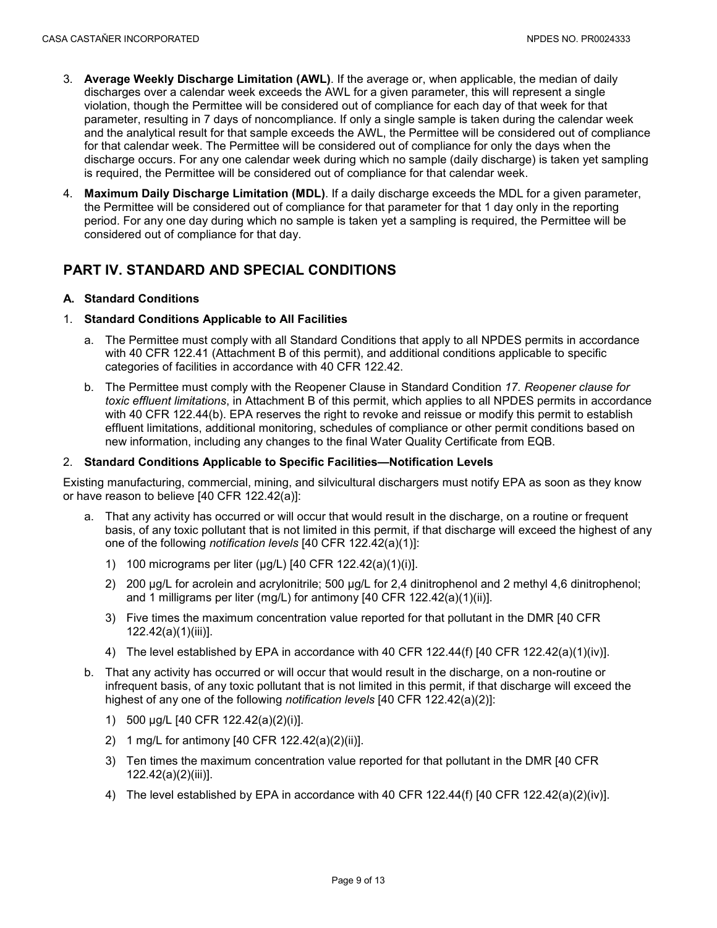- 3. **Average Weekly Discharge Limitation (AWL)**. If the average or, when applicable, the median of daily discharges over a calendar week exceeds the AWL for a given parameter, this will represent a single violation, though the Permittee will be considered out of compliance for each day of that week for that parameter, resulting in 7 days of noncompliance. If only a single sample is taken during the calendar week and the analytical result for that sample exceeds the AWL, the Permittee will be considered out of compliance for that calendar week. The Permittee will be considered out of compliance for only the days when the discharge occurs. For any one calendar week during which no sample (daily discharge) is taken yet sampling is required, the Permittee will be considered out of compliance for that calendar week.
- 4. **Maximum Daily Discharge Limitation (MDL)**. If a daily discharge exceeds the MDL for a given parameter, the Permittee will be considered out of compliance for that parameter for that 1 day only in the reporting period. For any one day during which no sample is taken yet a sampling is required, the Permittee will be considered out of compliance for that day.

# <span id="page-10-0"></span>**PART IV. STANDARD AND SPECIAL CONDITIONS**

### **A. Standard Conditions**

#### 1. **Standard Conditions Applicable to All Facilities**

- a. The Permittee must comply with all Standard Conditions that apply to all NPDES permits in accordance with 40 CFR 122.41 (Attachment B of this permit), and additional conditions applicable to specific categories of facilities in accordance with 40 CFR 122.42.
- b. The Permittee must comply with the Reopener Clause in Standard Condition *17. Reopener clause for toxic effluent limitations*, in Attachment B of this permit, which applies to all NPDES permits in accordance with 40 CFR 122.44(b). EPA reserves the right to revoke and reissue or modify this permit to establish effluent limitations, additional monitoring, schedules of compliance or other permit conditions based on new information, including any changes to the final Water Quality Certificate from EQB.

#### 2. **Standard Conditions Applicable to Specific Facilities—Notification Levels**

Existing manufacturing, commercial, mining, and silvicultural dischargers must notify EPA as soon as they know or have reason to believe [40 CFR 122.42(a)]:

- a. That any activity has occurred or will occur that would result in the discharge, on a routine or frequent basis, of any toxic pollutant that is not limited in this permit, if that discharge will exceed the highest of any one of the following *notification levels* [40 CFR 122.42(a)(1)]:
	- 1) 100 micrograms per liter (μg/L) [40 CFR 122.42(a)(1)(i)].
	- 2) 200 μg/L for acrolein and acrylonitrile; 500 μg/L for 2,4 dinitrophenol and 2 methyl 4,6 dinitrophenol; and 1 milligrams per liter (mg/L) for antimony [40 CFR 122.42(a)(1)(ii)].
	- 3) Five times the maximum concentration value reported for that pollutant in the DMR [40 CFR 122.42(a)(1)(iii)].
	- 4) The level established by EPA in accordance with 40 CFR 122.44(f) [40 CFR 122.42(a)(1)(iv)].
- b. That any activity has occurred or will occur that would result in the discharge, on a non-routine or infrequent basis, of any toxic pollutant that is not limited in this permit, if that discharge will exceed the highest of any one of the following *notification levels* [40 CFR 122.42(a)(2)]:
	- 1) 500 μg/L [40 CFR 122.42(a)(2)(i)].
	- 2) 1 mg/L for antimony [40 CFR 122.42(a)(2)(ii)].
	- 3) Ten times the maximum concentration value reported for that pollutant in the DMR [40 CFR 122.42(a)(2)(iii)].
	- 4) The level established by EPA in accordance with 40 CFR 122.44(f) [40 CFR 122.42(a)(2)(iv)].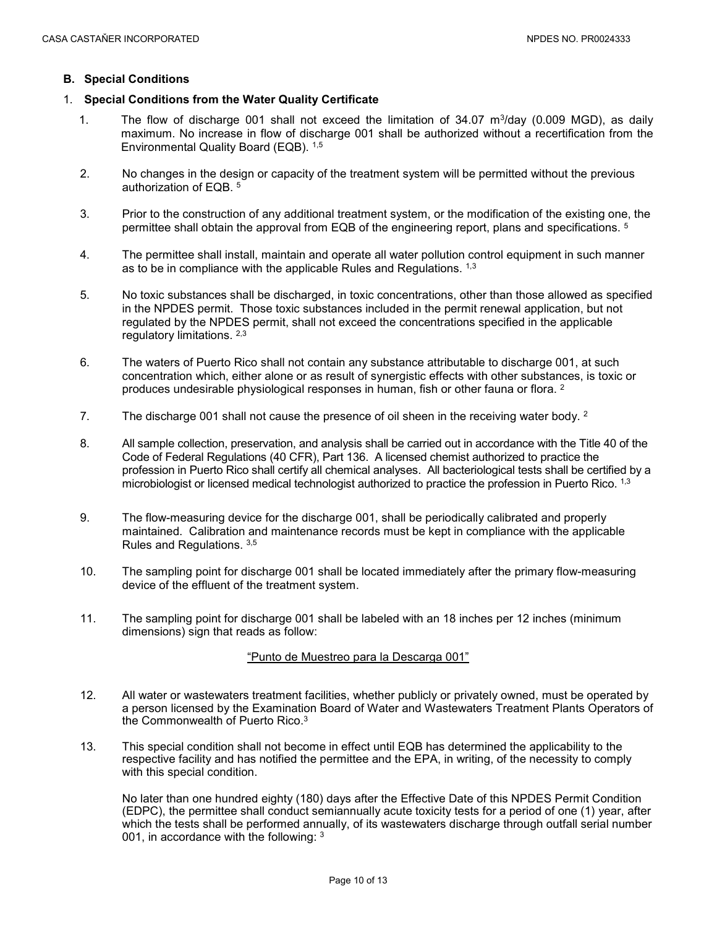#### **B. Special Conditions**

### 1. **Special Conditions from the Water Quality Certificate**

- 1. The flow of discharge 001 shall not exceed the limitation of 34.07 m3/day (0.009 MGD), as daily maximum. No increase in flow of discharge 001 shall be authorized without a recertification from the Environmental Quality Board (EQB). 1,5
- 2. No changes in the design or capacity of the treatment system will be permitted without the previous authorization of EQB. 5
- 3. Prior to the construction of any additional treatment system, or the modification of the existing one, the permittee shall obtain the approval from EQB of the engineering report, plans and specifications. <sup>5</sup>
- 4. The permittee shall install, maintain and operate all water pollution control equipment in such manner as to be in compliance with the applicable Rules and Regulations. 1,3
- 5. No toxic substances shall be discharged, in toxic concentrations, other than those allowed as specified in the NPDES permit. Those toxic substances included in the permit renewal application, but not regulated by the NPDES permit, shall not exceed the concentrations specified in the applicable regulatory limitations. 2,3
- 6. The waters of Puerto Rico shall not contain any substance attributable to discharge 001, at such concentration which, either alone or as result of synergistic effects with other substances, is toxic or produces undesirable physiological responses in human, fish or other fauna or flora. 2
- 7. The discharge 001 shall not cause the presence of oil sheen in the receiving water body.  $2^{\circ}$
- 8. All sample collection, preservation, and analysis shall be carried out in accordance with the Title 40 of the Code of Federal Regulations (40 CFR), Part 136. A licensed chemist authorized to practice the profession in Puerto Rico shall certify all chemical analyses. All bacteriological tests shall be certified by a microbiologist or licensed medical technologist authorized to practice the profession in Puerto Rico. 1,3
- 9. The flow-measuring device for the discharge 001, shall be periodically calibrated and properly maintained. Calibration and maintenance records must be kept in compliance with the applicable Rules and Regulations. 3,5
- 10. The sampling point for discharge 001 shall be located immediately after the primary flow-measuring device of the effluent of the treatment system.
- 11. The sampling point for discharge 001 shall be labeled with an 18 inches per 12 inches (minimum dimensions) sign that reads as follow:

#### "Punto de Muestreo para la Descarga 001"

- 12. All water or wastewaters treatment facilities, whether publicly or privately owned, must be operated by a person licensed by the Examination Board of Water and Wastewaters Treatment Plants Operators of the Commonwealth of Puerto Rico.3
- 13. This special condition shall not become in effect until EQB has determined the applicability to the respective facility and has notified the permittee and the EPA, in writing, of the necessity to comply with this special condition.

No later than one hundred eighty (180) days after the Effective Date of this NPDES Permit Condition (EDPC), the permittee shall conduct semiannually acute toxicity tests for a period of one (1) year, after which the tests shall be performed annually, of its wastewaters discharge through outfall serial number 001, in accordance with the following: 3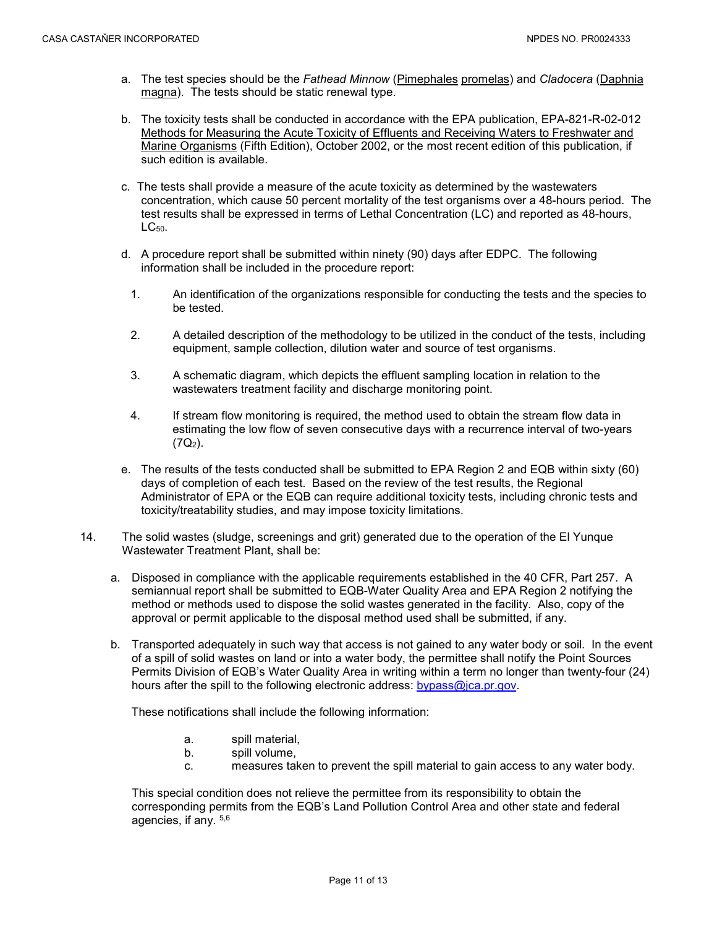- a. The test species should be the *Fathead Minnow* (Pimephales promelas) and *Cladocera* (Daphnia magna). The tests should be static renewal type.
- b. The toxicity tests shall be conducted in accordance with the EPA publication, EPA-821-R-02-012 Methods for Measuring the Acute Toxicity of Effluents and Receiving Waters to Freshwater and Marine Organisms (Fifth Edition), October 2002, or the most recent edition of this publication, if such edition is available.
- c. The tests shall provide a measure of the acute toxicity as determined by the wastewaters concentration, which cause 50 percent mortality of the test organisms over a 48-hours period. The test results shall be expressed in terms of Lethal Concentration (LC) and reported as 48-hours, LC<sub>50</sub>.
- d. A procedure report shall be submitted within ninety (90) days after EDPC. The following information shall be included in the procedure report:
	- 1. An identification of the organizations responsible for conducting the tests and the species to be tested.
	- 2. A detailed description of the methodology to be utilized in the conduct of the tests, including equipment, sample collection, dilution water and source of test organisms.
	- 3. A schematic diagram, which depicts the effluent sampling location in relation to the wastewaters treatment facility and discharge monitoring point.
	- 4. If stream flow monitoring is required, the method used to obtain the stream flow data in estimating the low flow of seven consecutive days with a recurrence interval of two-years  $(7Q<sub>2</sub>)$ .
- e. The results of the tests conducted shall be submitted to EPA Region 2 and EQB within sixty (60) days of completion of each test. Based on the review of the test results, the Regional Administrator of EPA or the EQB can require additional toxicity tests, including chronic tests and toxicity/treatability studies, and may impose toxicity limitations.
- 14. The solid wastes (sludge, screenings and grit) generated due to the operation of the El Yunque Wastewater Treatment Plant, shall be:
	- a. Disposed in compliance with the applicable requirements established in the 40 CFR, Part 257. A semiannual report shall be submitted to EQB-Water Quality Area and EPA Region 2 notifying the method or methods used to dispose the solid wastes generated in the facility. Also, copy of the approval or permit applicable to the disposal method used shall be submitted, if any.
	- b. Transported adequately in such way that access is not gained to any water body or soil. In the event of a spill of solid wastes on land or into a water body, the permittee shall notify the Point Sources Permits Division of EQB's Water Quality Area in writing within a term no longer than twenty-four (24) hours after the spill to the following electronic address: [bypass@jca.pr.gov.](mailto:bypass@jca.pr.gov)

These notifications shall include the following information:

- a. spill material,
- b. spill volume,
- c. measures taken to prevent the spill material to gain access to any water body.

This special condition does not relieve the permittee from its responsibility to obtain the corresponding permits from the EQB's Land Pollution Control Area and other state and federal agencies, if any. 5,6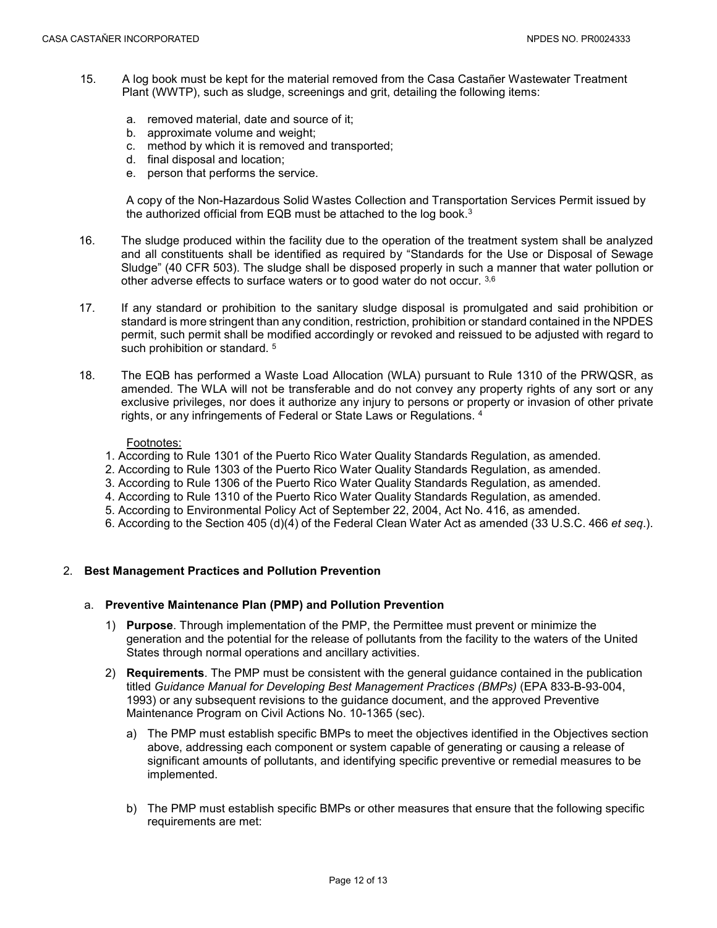- 15. A log book must be kept for the material removed from the Casa Castañer Wastewater Treatment Plant (WWTP), such as sludge, screenings and grit, detailing the following items:
	- a. removed material, date and source of it;
	- b. approximate volume and weight;
	- c. method by which it is removed and transported;
	- d. final disposal and location;
	- e. person that performs the service.

A copy of the Non-Hazardous Solid Wastes Collection and Transportation Services Permit issued by the authorized official from EQB must be attached to the log book.3

- 16. The sludge produced within the facility due to the operation of the treatment system shall be analyzed and all constituents shall be identified as required by "Standards for the Use or Disposal of Sewage Sludge" (40 CFR 503). The sludge shall be disposed properly in such a manner that water pollution or other adverse effects to surface waters or to good water do not occur. 3,6
- 17. If any standard or prohibition to the sanitary sludge disposal is promulgated and said prohibition or standard is more stringent than any condition, restriction, prohibition or standard contained in the NPDES permit, such permit shall be modified accordingly or revoked and reissued to be adjusted with regard to such prohibition or standard.<sup>5</sup>
- 18. The EQB has performed a Waste Load Allocation (WLA) pursuant to Rule 1310 of the PRWQSR, as amended. The WLA will not be transferable and do not convey any property rights of any sort or any exclusive privileges, nor does it authorize any injury to persons or property or invasion of other private rights, or any infringements of Federal or State Laws or Regulations. 4

#### Footnotes:

- 1. According to Rule 1301 of the Puerto Rico Water Quality Standards Regulation, as amended.
- 2. According to Rule 1303 of the Puerto Rico Water Quality Standards Regulation, as amended.
- 3. According to Rule 1306 of the Puerto Rico Water Quality Standards Regulation, as amended.
- 4. According to Rule 1310 of the Puerto Rico Water Quality Standards Regulation, as amended.
- 5. According to Environmental Policy Act of September 22, 2004, Act No. 416, as amended.
- 6. According to the Section 405 (d)(4) of the Federal Clean Water Act as amended (33 U.S.C. 466 *et seq*.).

#### 2. **Best Management Practices and Pollution Prevention**

#### a. **Preventive Maintenance Plan (PMP) and Pollution Prevention**

- 1) **Purpose**. Through implementation of the PMP, the Permittee must prevent or minimize the generation and the potential for the release of pollutants from the facility to the waters of the United States through normal operations and ancillary activities.
- 2) **Requirements**. The PMP must be consistent with the general guidance contained in the publication titled *Guidance Manual for Developing Best Management Practices (BMPs)* (EPA 833-B-93-004, 1993) or any subsequent revisions to the guidance document, and the approved Preventive Maintenance Program on Civil Actions No. 10-1365 (sec).
	- a) The PMP must establish specific BMPs to meet the objectives identified in the Objectives section above, addressing each component or system capable of generating or causing a release of significant amounts of pollutants, and identifying specific preventive or remedial measures to be implemented.
	- b) The PMP must establish specific BMPs or other measures that ensure that the following specific requirements are met: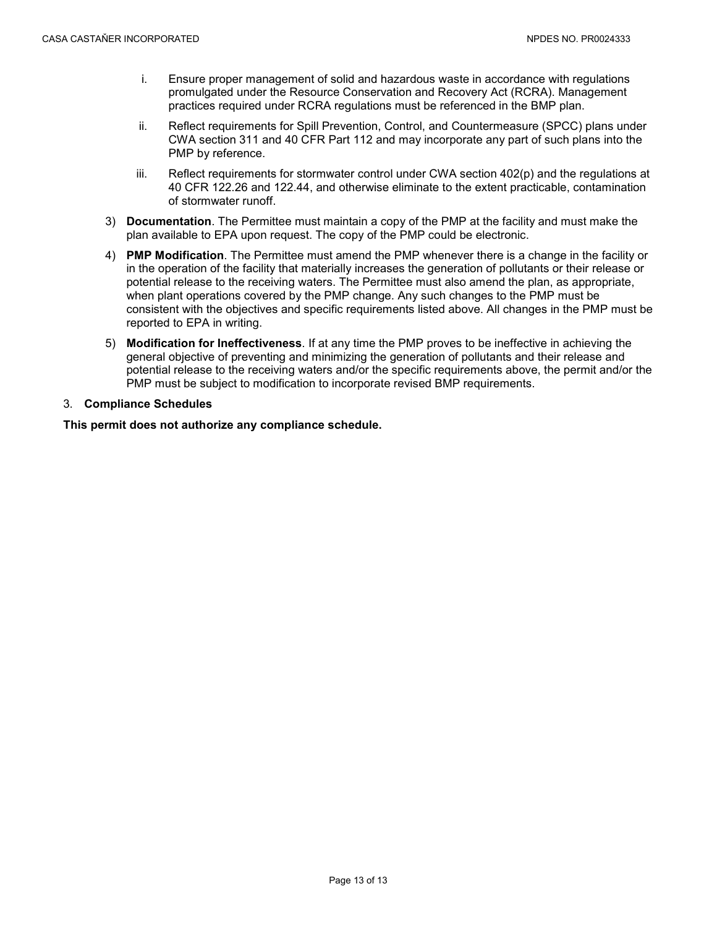- i. Ensure proper management of solid and hazardous waste in accordance with regulations promulgated under the Resource Conservation and Recovery Act (RCRA). Management practices required under RCRA regulations must be referenced in the BMP plan.
- ii. Reflect requirements for Spill Prevention, Control, and Countermeasure (SPCC) plans under CWA section 311 and 40 CFR Part 112 and may incorporate any part of such plans into the PMP by reference.
- iii. Reflect requirements for stormwater control under CWA section 402(p) and the regulations at 40 CFR 122.26 and 122.44, and otherwise eliminate to the extent practicable, contamination of stormwater runoff.
- 3) **Documentation**. The Permittee must maintain a copy of the PMP at the facility and must make the plan available to EPA upon request. The copy of the PMP could be electronic.
- 4) **PMP Modification**. The Permittee must amend the PMP whenever there is a change in the facility or in the operation of the facility that materially increases the generation of pollutants or their release or potential release to the receiving waters. The Permittee must also amend the plan, as appropriate, when plant operations covered by the PMP change. Any such changes to the PMP must be consistent with the objectives and specific requirements listed above. All changes in the PMP must be reported to EPA in writing.
- 5) **Modification for Ineffectiveness**. If at any time the PMP proves to be ineffective in achieving the general objective of preventing and minimizing the generation of pollutants and their release and potential release to the receiving waters and/or the specific requirements above, the permit and/or the PMP must be subject to modification to incorporate revised BMP requirements.

### 3. **Compliance Schedules**

**This permit does not authorize any compliance schedule.**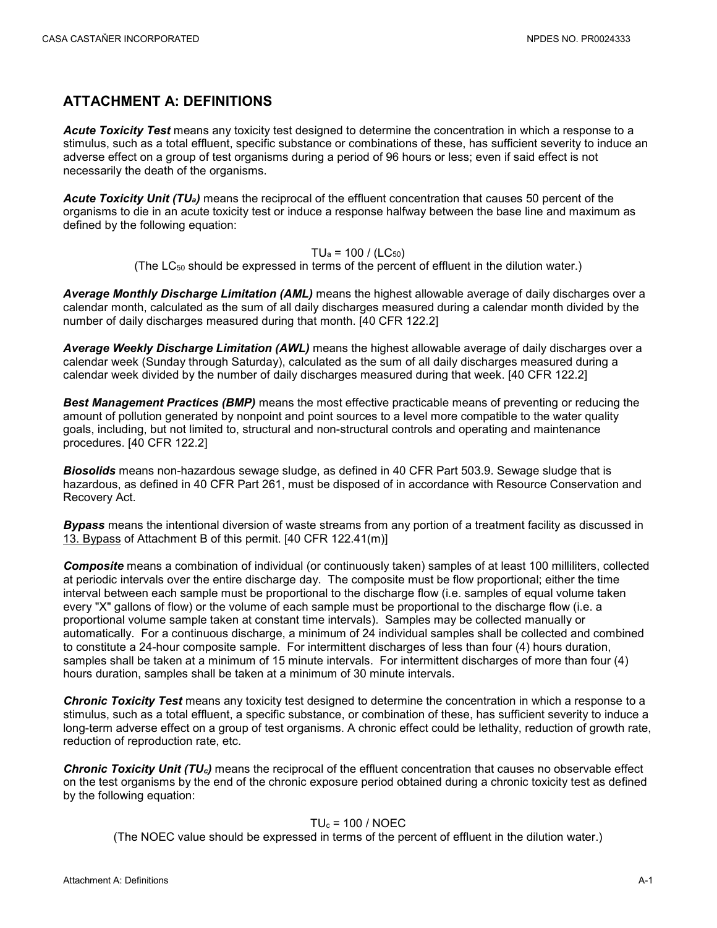## <span id="page-15-0"></span>**ATTACHMENT A: DEFINITIONS**

*Acute Toxicity Test* means any toxicity test designed to determine the concentration in which a response to a stimulus, such as a total effluent, specific substance or combinations of these, has sufficient severity to induce an adverse effect on a group of test organisms during a period of 96 hours or less; even if said effect is not necessarily the death of the organisms.

*Acute Toxicity Unit (TUa)* means the reciprocal of the effluent concentration that causes 50 percent of the organisms to die in an acute toxicity test or induce a response halfway between the base line and maximum as defined by the following equation:

$$
TU_a = 100 / (LC_{50})
$$

(The LC50 should be expressed in terms of the percent of effluent in the dilution water.)

*Average Monthly Discharge Limitation (AML)* means the highest allowable average of daily discharges over a calendar month, calculated as the sum of all daily discharges measured during a calendar month divided by the number of daily discharges measured during that month. [40 CFR 122.2]

*Average Weekly Discharge Limitation (AWL)* means the highest allowable average of daily discharges over a calendar week (Sunday through Saturday), calculated as the sum of all daily discharges measured during a calendar week divided by the number of daily discharges measured during that week. [40 CFR 122.2]

*Best Management Practices (BMP)* means the most effective practicable means of preventing or reducing the amount of pollution generated by nonpoint and point sources to a level more compatible to the water quality goals, including, but not limited to, structural and non-structural controls and operating and maintenance procedures. [40 CFR 122.2]

*Biosolids* means non-hazardous sewage sludge, as defined in 40 CFR Part 503.9. Sewage sludge that is hazardous, as defined in 40 CFR Part 261, must be disposed of in accordance with Resource Conservation and Recovery Act.

*Bypass* means the intentional diversion of waste streams from any portion of a treatment facility as discussed in 13. Bypass of Attachment B of this permit. [40 CFR 122.41(m)]

*Composite* means a combination of individual (or continuously taken) samples of at least 100 milliliters, collected at periodic intervals over the entire discharge day. The composite must be flow proportional; either the time interval between each sample must be proportional to the discharge flow (i.e. samples of equal volume taken every "X" gallons of flow) or the volume of each sample must be proportional to the discharge flow (i.e. a proportional volume sample taken at constant time intervals). Samples may be collected manually or automatically. For a continuous discharge, a minimum of 24 individual samples shall be collected and combined to constitute a 24-hour composite sample. For intermittent discharges of less than four (4) hours duration, samples shall be taken at a minimum of 15 minute intervals. For intermittent discharges of more than four (4) hours duration, samples shall be taken at a minimum of 30 minute intervals.

*Chronic Toxicity Test* means any toxicity test designed to determine the concentration in which a response to a stimulus, such as a total effluent, a specific substance, or combination of these, has sufficient severity to induce a long-term adverse effect on a group of test organisms. A chronic effect could be lethality, reduction of growth rate, reduction of reproduction rate, etc.

*Chronic Toxicity Unit (TUc)* means the reciprocal of the effluent concentration that causes no observable effect on the test organisms by the end of the chronic exposure period obtained during a chronic toxicity test as defined by the following equation:

#### $TU_c = 100 / NOEC$

(The NOEC value should be expressed in terms of the percent of effluent in the dilution water.)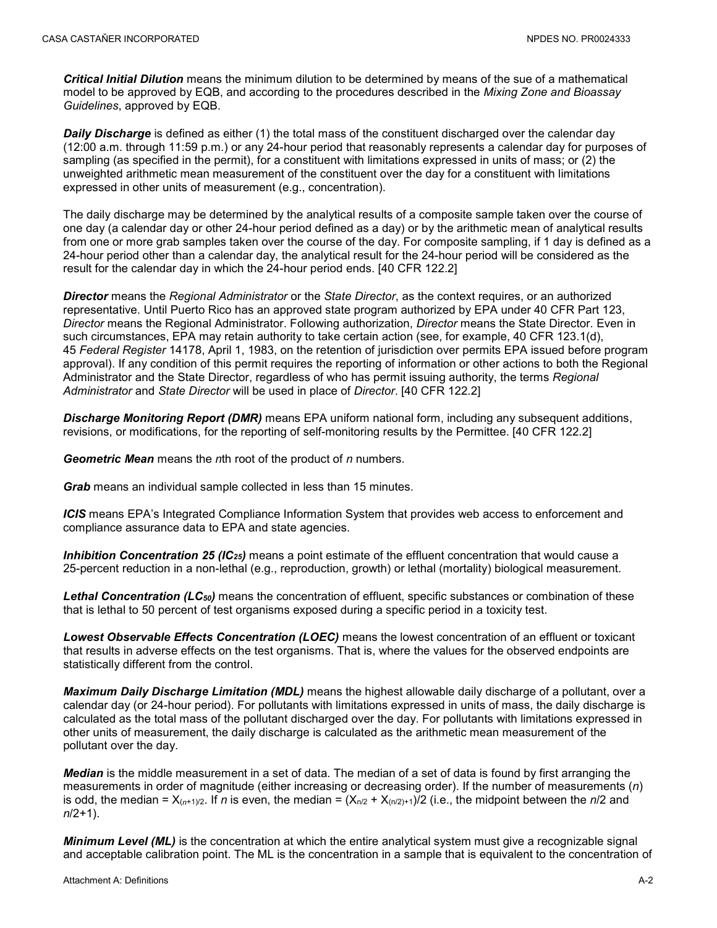*Critical Initial Dilution* means the minimum dilution to be determined by means of the sue of a mathematical model to be approved by EQB, and according to the procedures described in the *Mixing Zone and Bioassay Guidelines*, approved by EQB.

*Daily Discharge* is defined as either (1) the total mass of the constituent discharged over the calendar day (12:00 a.m. through 11:59 p.m.) or any 24-hour period that reasonably represents a calendar day for purposes of sampling (as specified in the permit), for a constituent with limitations expressed in units of mass; or (2) the unweighted arithmetic mean measurement of the constituent over the day for a constituent with limitations expressed in other units of measurement (e.g., concentration).

The daily discharge may be determined by the analytical results of a composite sample taken over the course of one day (a calendar day or other 24-hour period defined as a day) or by the arithmetic mean of analytical results from one or more grab samples taken over the course of the day. For composite sampling, if 1 day is defined as a 24-hour period other than a calendar day, the analytical result for the 24-hour period will be considered as the result for the calendar day in which the 24-hour period ends. [40 CFR 122.2]

*Director* means the *Regional Administrator* or the *State Director*, as the context requires, or an authorized representative. Until Puerto Rico has an approved state program authorized by EPA under 40 CFR Part 123, *Director* means the Regional Administrator. Following authorization, *Director* means the State Director. Even in such circumstances, EPA may retain authority to take certain action (see, for example, 40 CFR 123.1(d), 45 *Federal Register* 14178, April 1, 1983, on the retention of jurisdiction over permits EPA issued before program approval). If any condition of this permit requires the reporting of information or other actions to both the Regional Administrator and the State Director, regardless of who has permit issuing authority, the terms *Regional Administrator* and *State Director* will be used in place of *Director*. [40 CFR 122.2]

*Discharge Monitoring Report (DMR)* means EPA uniform national form, including any subsequent additions, revisions, or modifications, for the reporting of self-monitoring results by the Permittee. [40 CFR 122.2]

*Geometric Mean* means the *n*th root of the product of *n* numbers.

*Grab* means an individual sample collected in less than 15 minutes.

*ICIS* means EPA's Integrated Compliance Information System that provides web access to enforcement and compliance assurance data to EPA and state agencies.

*Inhibition Concentration 25 (IC25)* means a point estimate of the effluent concentration that would cause a 25-percent reduction in a non-lethal (e.g., reproduction, growth) or lethal (mortality) biological measurement.

*Lethal Concentration (LC50)* means the concentration of effluent, specific substances or combination of these that is lethal to 50 percent of test organisms exposed during a specific period in a toxicity test.

*Lowest Observable Effects Concentration (LOEC)* means the lowest concentration of an effluent or toxicant that results in adverse effects on the test organisms. That is, where the values for the observed endpoints are statistically different from the control.

*Maximum Daily Discharge Limitation (MDL)* means the highest allowable daily discharge of a pollutant, over a calendar day (or 24-hour period). For pollutants with limitations expressed in units of mass, the daily discharge is calculated as the total mass of the pollutant discharged over the day. For pollutants with limitations expressed in other units of measurement, the daily discharge is calculated as the arithmetic mean measurement of the pollutant over the day.

*Median* is the middle measurement in a set of data. The median of a set of data is found by first arranging the measurements in order of magnitude (either increasing or decreasing order). If the number of measurements (*n*) is odd, the median =  $X_{(n+1)/2}$ . If *n* is even, the median =  $(X_{n/2} + X_{(n/2)+1})/2$  (i.e., the midpoint between the *n*/2 and *n*/2+1).

*Minimum Level (ML)* is the concentration at which the entire analytical system must give a recognizable signal and acceptable calibration point. The ML is the concentration in a sample that is equivalent to the concentration of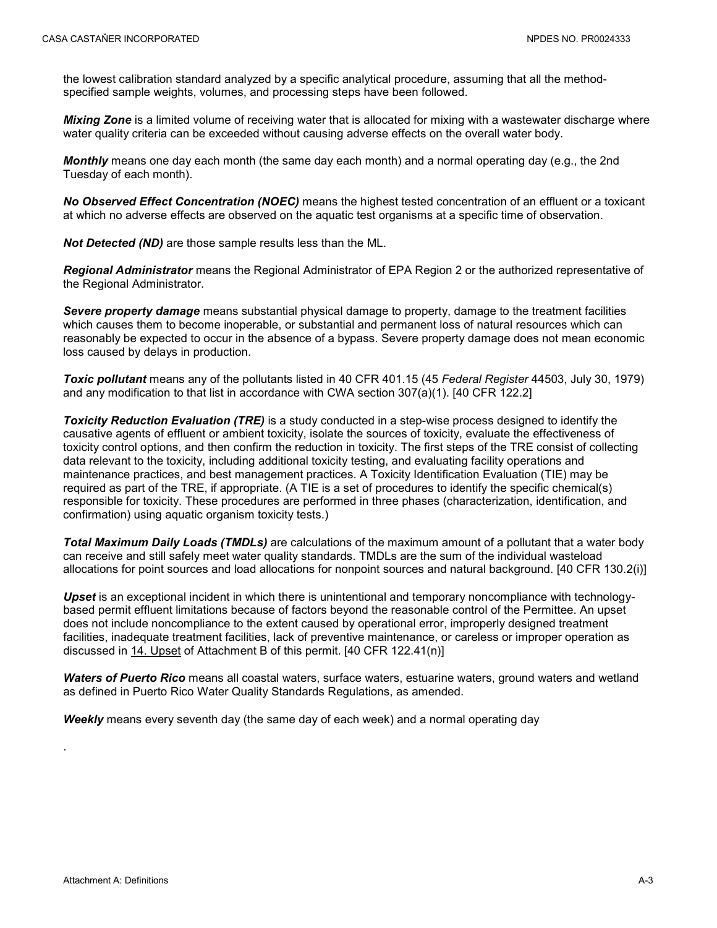the lowest calibration standard analyzed by a specific analytical procedure, assuming that all the methodspecified sample weights, volumes, and processing steps have been followed.

*Mixing Zone* is a limited volume of receiving water that is allocated for mixing with a wastewater discharge where water quality criteria can be exceeded without causing adverse effects on the overall water body.

*Monthly* means one day each month (the same day each month) and a normal operating day (e.g., the 2nd Tuesday of each month).

*No Observed Effect Concentration (NOEC)* means the highest tested concentration of an effluent or a toxicant at which no adverse effects are observed on the aquatic test organisms at a specific time of observation.

*Not Detected (ND)* are those sample results less than the ML.

*Regional Administrator* means the Regional Administrator of EPA Region 2 or the authorized representative of the Regional Administrator.

*Severe property damage* means substantial physical damage to property, damage to the treatment facilities which causes them to become inoperable, or substantial and permanent loss of natural resources which can reasonably be expected to occur in the absence of a bypass. Severe property damage does not mean economic loss caused by delays in production.

*Toxic pollutant* means any of the pollutants listed in 40 CFR 401.15 (45 *Federal Register* 44503, July 30, 1979) and any modification to that list in accordance with CWA section 307(a)(1). [40 CFR 122.2]

**Toxicity Reduction Evaluation (TRE)** is a study conducted in a step-wise process designed to identify the causative agents of effluent or ambient toxicity, isolate the sources of toxicity, evaluate the effectiveness of toxicity control options, and then confirm the reduction in toxicity. The first steps of the TRE consist of collecting data relevant to the toxicity, including additional toxicity testing, and evaluating facility operations and maintenance practices, and best management practices. A Toxicity Identification Evaluation (TIE) may be required as part of the TRE, if appropriate. (A TIE is a set of procedures to identify the specific chemical(s) responsible for toxicity. These procedures are performed in three phases (characterization, identification, and confirmation) using aquatic organism toxicity tests.)

*Total Maximum Daily Loads (TMDLs)* are calculations of the maximum amount of a pollutant that a water body can receive and still safely meet water quality standards. TMDLs are the sum of the individual wasteload allocations for point sources and load allocations for nonpoint sources and natural background. [40 CFR 130.2(i)]

*Upset* is an exceptional incident in which there is unintentional and temporary noncompliance with technologybased permit effluent limitations because of factors beyond the reasonable control of the Permittee. An upset does not include noncompliance to the extent caused by operational error, improperly designed treatment facilities, inadequate treatment facilities, lack of preventive maintenance, or careless or improper operation as discussed in 14. Upset of Attachment B of this permit. [40 CFR 122.41(n)]

*Waters of Puerto Rico* means all coastal waters, surface waters, estuarine waters, ground waters and wetland as defined in Puerto Rico Water Quality Standards Regulations, as amended.

*Weekly* means every seventh day (the same day of each week) and a normal operating day

.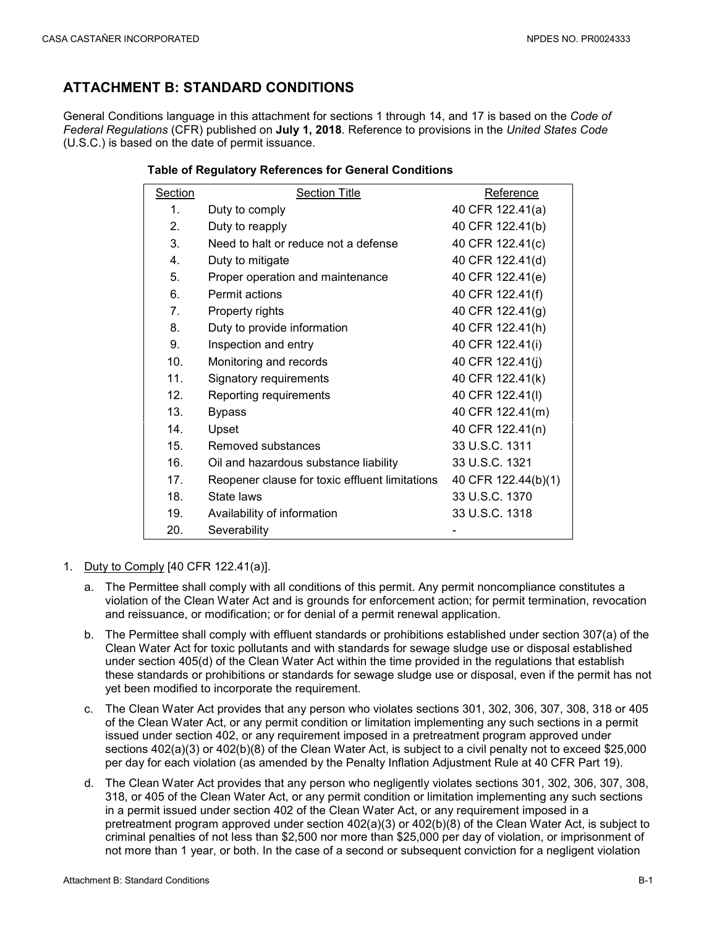# <span id="page-18-0"></span>**ATTACHMENT B: STANDARD CONDITIONS**

General Conditions language in this attachment for sections 1 through 14, and 17 is based on the *Code of Federal Regulations* (CFR) published on **July 1, 2018**. Reference to provisions in the *United States Code* (U.S.C.) is based on the date of permit issuance.

| Section         | <b>Section Title</b>                           | Reference           |
|-----------------|------------------------------------------------|---------------------|
| $\mathbf 1$     | Duty to comply                                 | 40 CFR 122.41(a)    |
| $\mathbf{2}$    | Duty to reapply                                | 40 CFR 122.41(b)    |
| 3.              | Need to halt or reduce not a defense           | 40 CFR 122.41(c)    |
| $\mathbf{4}$    | Duty to mitigate                               | 40 CFR 122.41(d)    |
| 5.              | Proper operation and maintenance               | 40 CFR 122.41(e)    |
| 6.              | Permit actions                                 | 40 CFR 122.41(f)    |
| 7.              | Property rights                                | 40 CFR 122.41(g)    |
| 8.              | Duty to provide information                    | 40 CFR 122.41(h)    |
| 9.              | Inspection and entry                           | 40 CFR 122.41(i)    |
| 10.             | Monitoring and records                         | 40 CFR 122.41(j)    |
| 11 <sub>1</sub> | Signatory requirements                         | 40 CFR 122.41(k)    |
| 12 <sub>1</sub> | Reporting requirements                         | 40 CFR 122.41(I)    |
| 13.             | <b>Bypass</b>                                  | 40 CFR 122.41(m)    |
| 14 <sub>1</sub> | Upset                                          | 40 CFR 122.41(n)    |
| 15 <sub>1</sub> | Removed substances                             | 33 U.S.C. 1311      |
| 16.             | Oil and hazardous substance liability          | 33 U.S.C. 1321      |
| 17 <sub>1</sub> | Reopener clause for toxic effluent limitations | 40 CFR 122.44(b)(1) |
| 18.             | State laws                                     | 33 U.S.C. 1370      |
| 19.             | Availability of information                    | 33 U.S.C. 1318      |
| 20.             | Severability                                   |                     |

#### **Table of Regulatory References for General Conditions**

- 1. Duty to Comply [40 CFR 122.41(a)].
	- a. The Permittee shall comply with all conditions of this permit. Any permit noncompliance constitutes a violation of the Clean Water Act and is grounds for enforcement action; for permit termination, revocation and reissuance, or modification; or for denial of a permit renewal application.
	- b. The Permittee shall comply with effluent standards or prohibitions established under section 307(a) of the Clean Water Act for toxic pollutants and with standards for sewage sludge use or disposal established under section 405(d) of the Clean Water Act within the time provided in the regulations that establish these standards or prohibitions or standards for sewage sludge use or disposal, even if the permit has not yet been modified to incorporate the requirement.
	- c. The Clean Water Act provides that any person who violates sections 301, 302, 306, 307, 308, 318 or 405 of the Clean Water Act, or any permit condition or limitation implementing any such sections in a permit issued under section 402, or any requirement imposed in a pretreatment program approved under sections 402(a)(3) or 402(b)(8) of the Clean Water Act, is subject to a civil penalty not to exceed \$25,000 per day for each violation (as amended by the Penalty Inflation Adjustment Rule at 40 CFR Part 19).
	- d. The Clean Water Act provides that any person who negligently violates sections 301, 302, 306, 307, 308, 318, or 405 of the Clean Water Act, or any permit condition or limitation implementing any such sections in a permit issued under section 402 of the Clean Water Act, or any requirement imposed in a pretreatment program approved under section 402(a)(3) or 402(b)(8) of the Clean Water Act, is subject to criminal penalties of not less than \$2,500 nor more than \$25,000 per day of violation, or imprisonment of not more than 1 year, or both. In the case of a second or subsequent conviction for a negligent violation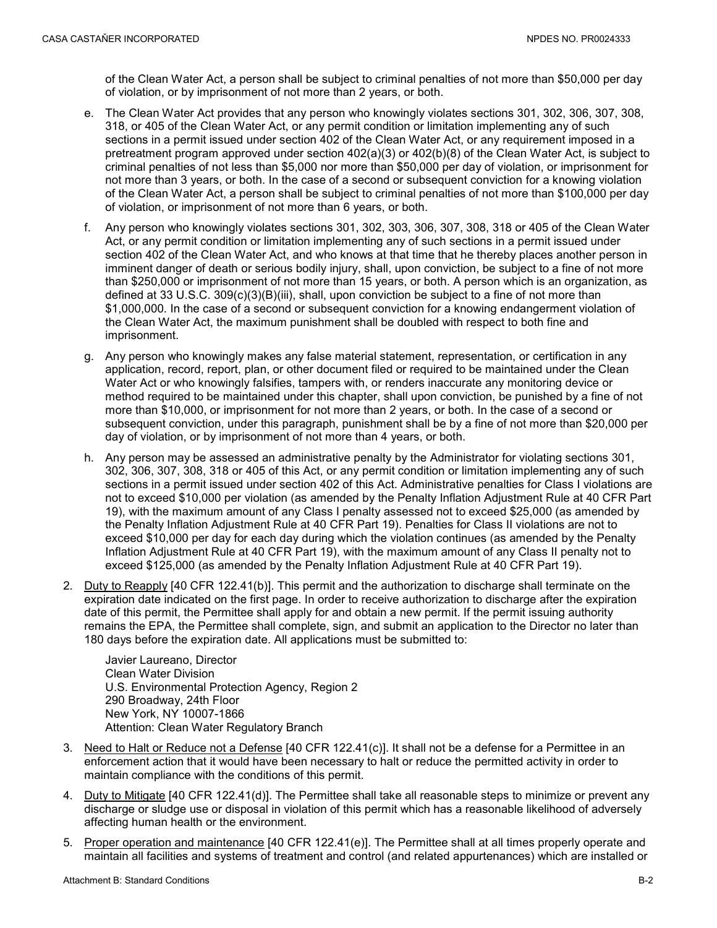of the Clean Water Act, a person shall be subject to criminal penalties of not more than \$50,000 per day of violation, or by imprisonment of not more than 2 years, or both.

- e. The Clean Water Act provides that any person who knowingly violates sections 301, 302, 306, 307, 308, 318, or 405 of the Clean Water Act, or any permit condition or limitation implementing any of such sections in a permit issued under section 402 of the Clean Water Act, or any requirement imposed in a pretreatment program approved under section 402(a)(3) or 402(b)(8) of the Clean Water Act, is subject to criminal penalties of not less than \$5,000 nor more than \$50,000 per day of violation, or imprisonment for not more than 3 years, or both. In the case of a second or subsequent conviction for a knowing violation of the Clean Water Act, a person shall be subject to criminal penalties of not more than \$100,000 per day of violation, or imprisonment of not more than 6 years, or both.
- f. Any person who knowingly violates sections 301, 302, 303, 306, 307, 308, 318 or 405 of the Clean Water Act, or any permit condition or limitation implementing any of such sections in a permit issued under section 402 of the Clean Water Act, and who knows at that time that he thereby places another person in imminent danger of death or serious bodily injury, shall, upon conviction, be subject to a fine of not more than \$250,000 or imprisonment of not more than 15 years, or both. A person which is an organization, as defined at 33 U.S.C. 309(c)(3)(B)(iii), shall, upon conviction be subject to a fine of not more than \$1,000,000. In the case of a second or subsequent conviction for a knowing endangerment violation of the Clean Water Act, the maximum punishment shall be doubled with respect to both fine and imprisonment.
- g. Any person who knowingly makes any false material statement, representation, or certification in any application, record, report, plan, or other document filed or required to be maintained under the Clean Water Act or who knowingly falsifies, tampers with, or renders inaccurate any monitoring device or method required to be maintained under this chapter, shall upon conviction, be punished by a fine of not more than \$10,000, or imprisonment for not more than 2 years, or both. In the case of a second or subsequent conviction, under this paragraph, punishment shall be by a fine of not more than \$20,000 per day of violation, or by imprisonment of not more than 4 years, or both.
- h. Any person may be assessed an administrative penalty by the Administrator for violating sections 301, 302, 306, 307, 308, 318 or 405 of this Act, or any permit condition or limitation implementing any of such sections in a permit issued under section 402 of this Act. Administrative penalties for Class I violations are not to exceed \$10,000 per violation (as amended by the Penalty Inflation Adjustment Rule at 40 CFR Part 19), with the maximum amount of any Class I penalty assessed not to exceed \$25,000 (as amended by the Penalty Inflation Adjustment Rule at 40 CFR Part 19). Penalties for Class II violations are not to exceed \$10,000 per day for each day during which the violation continues (as amended by the Penalty Inflation Adjustment Rule at 40 CFR Part 19), with the maximum amount of any Class II penalty not to exceed \$125,000 (as amended by the Penalty Inflation Adjustment Rule at 40 CFR Part 19).
- 2. Duty to Reapply [40 CFR 122.41(b)]. This permit and the authorization to discharge shall terminate on the expiration date indicated on the first page. In order to receive authorization to discharge after the expiration date of this permit, the Permittee shall apply for and obtain a new permit. If the permit issuing authority remains the EPA, the Permittee shall complete, sign, and submit an application to the Director no later than 180 days before the expiration date. All applications must be submitted to:

Javier Laureano, Director Clean Water Division U.S. Environmental Protection Agency, Region 2 290 Broadway, 24th Floor New York, NY 10007-1866 Attention: Clean Water Regulatory Branch

- 3. Need to Halt or Reduce not a Defense [40 CFR 122.41(c)]. It shall not be a defense for a Permittee in an enforcement action that it would have been necessary to halt or reduce the permitted activity in order to maintain compliance with the conditions of this permit.
- 4. Duty to Mitigate [40 CFR 122.41(d)]. The Permittee shall take all reasonable steps to minimize or prevent any discharge or sludge use or disposal in violation of this permit which has a reasonable likelihood of adversely affecting human health or the environment.
- 5. Proper operation and maintenance [40 CFR 122.41(e)]. The Permittee shall at all times properly operate and maintain all facilities and systems of treatment and control (and related appurtenances) which are installed or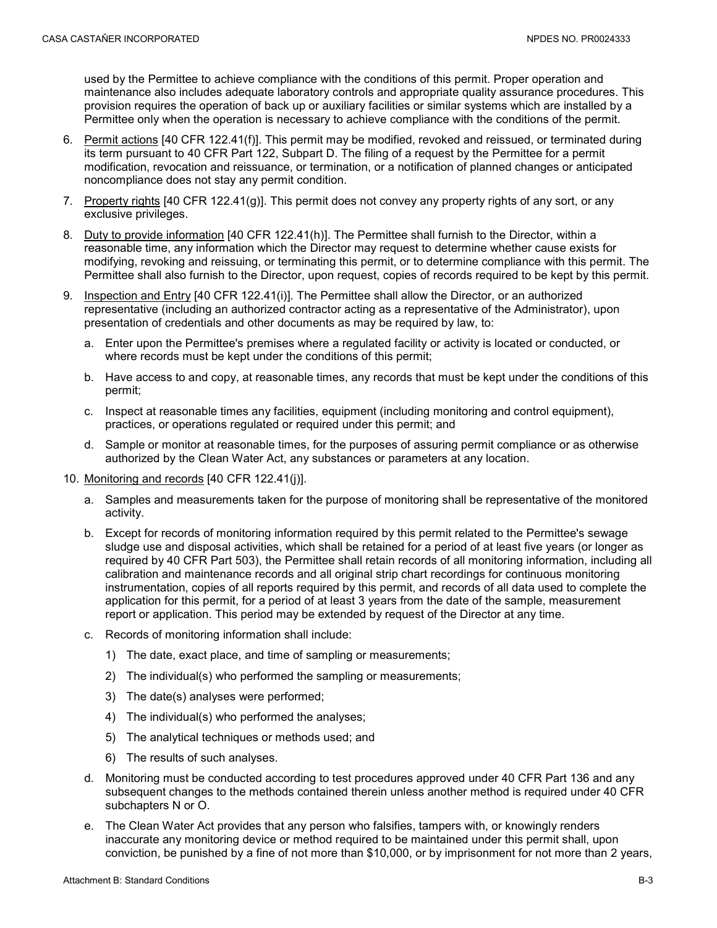used by the Permittee to achieve compliance with the conditions of this permit. Proper operation and maintenance also includes adequate laboratory controls and appropriate quality assurance procedures. This provision requires the operation of back up or auxiliary facilities or similar systems which are installed by a Permittee only when the operation is necessary to achieve compliance with the conditions of the permit.

- 6. Permit actions [40 CFR 122.41(f)]. This permit may be modified, revoked and reissued, or terminated during its term pursuant to 40 CFR Part 122, Subpart D. The filing of a request by the Permittee for a permit modification, revocation and reissuance, or termination, or a notification of planned changes or anticipated noncompliance does not stay any permit condition.
- 7. Property rights [40 CFR 122.41(g)]. This permit does not convey any property rights of any sort, or any exclusive privileges.
- 8. Duty to provide information [40 CFR 122.41(h)]. The Permittee shall furnish to the Director, within a reasonable time, any information which the Director may request to determine whether cause exists for modifying, revoking and reissuing, or terminating this permit, or to determine compliance with this permit. The Permittee shall also furnish to the Director, upon request, copies of records required to be kept by this permit.
- 9. Inspection and Entry [40 CFR 122.41(i)]. The Permittee shall allow the Director, or an authorized representative (including an authorized contractor acting as a representative of the Administrator), upon presentation of credentials and other documents as may be required by law, to:
	- a. Enter upon the Permittee's premises where a regulated facility or activity is located or conducted, or where records must be kept under the conditions of this permit;
	- b. Have access to and copy, at reasonable times, any records that must be kept under the conditions of this permit;
	- c. Inspect at reasonable times any facilities, equipment (including monitoring and control equipment), practices, or operations regulated or required under this permit; and
	- d. Sample or monitor at reasonable times, for the purposes of assuring permit compliance or as otherwise authorized by the Clean Water Act, any substances or parameters at any location.
- 10. Monitoring and records [40 CFR 122.41(j)].
	- a. Samples and measurements taken for the purpose of monitoring shall be representative of the monitored activity.
	- b. Except for records of monitoring information required by this permit related to the Permittee's sewage sludge use and disposal activities, which shall be retained for a period of at least five years (or longer as required by 40 CFR Part 503), the Permittee shall retain records of all monitoring information, including all calibration and maintenance records and all original strip chart recordings for continuous monitoring instrumentation, copies of all reports required by this permit, and records of all data used to complete the application for this permit, for a period of at least 3 years from the date of the sample, measurement report or application. This period may be extended by request of the Director at any time.
	- c. Records of monitoring information shall include:
		- 1) The date, exact place, and time of sampling or measurements;
		- 2) The individual(s) who performed the sampling or measurements;
		- 3) The date(s) analyses were performed;
		- 4) The individual(s) who performed the analyses;
		- 5) The analytical techniques or methods used; and
		- 6) The results of such analyses.
	- d. Monitoring must be conducted according to test procedures approved under 40 CFR Part 136 and any subsequent changes to the methods contained therein unless another method is required under 40 CFR subchapters N or O.
	- e. The Clean Water Act provides that any person who falsifies, tampers with, or knowingly renders inaccurate any monitoring device or method required to be maintained under this permit shall, upon conviction, be punished by a fine of not more than \$10,000, or by imprisonment for not more than 2 years,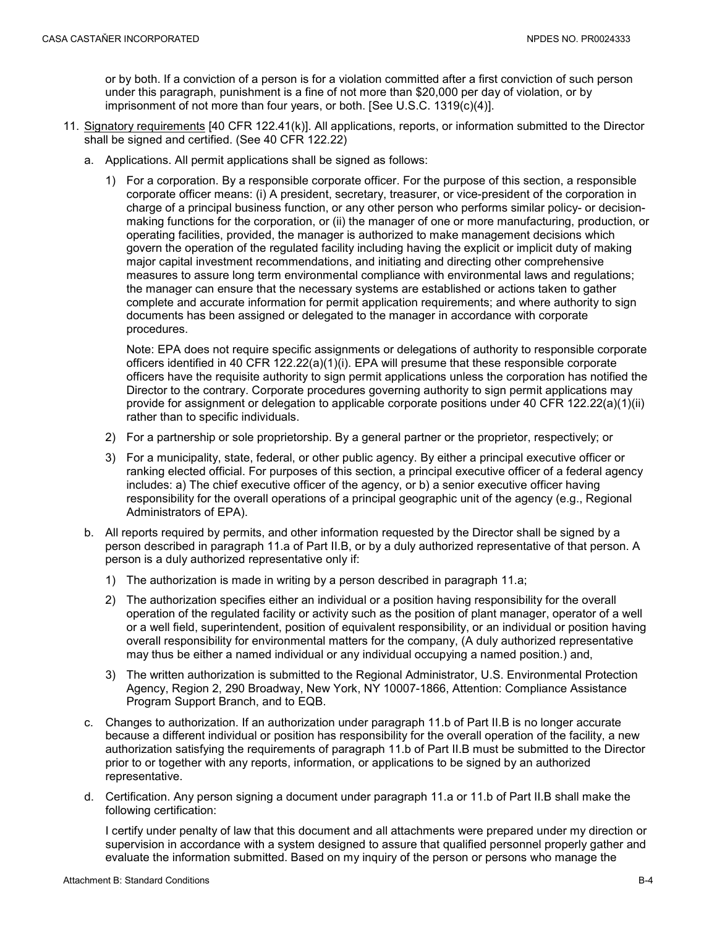or by both. If a conviction of a person is for a violation committed after a first conviction of such person under this paragraph, punishment is a fine of not more than \$20,000 per day of violation, or by imprisonment of not more than four years, or both. [See U.S.C. 1319(c)(4)].

- 11. Signatory requirements [40 CFR 122.41(k)]. All applications, reports, or information submitted to the Director shall be signed and certified. (See 40 CFR 122.22)
	- a. Applications. All permit applications shall be signed as follows:
		- 1) For a corporation. By a responsible corporate officer. For the purpose of this section, a responsible corporate officer means: (i) A president, secretary, treasurer, or vice-president of the corporation in charge of a principal business function, or any other person who performs similar policy- or decisionmaking functions for the corporation, or (ii) the manager of one or more manufacturing, production, or operating facilities, provided, the manager is authorized to make management decisions which govern the operation of the regulated facility including having the explicit or implicit duty of making major capital investment recommendations, and initiating and directing other comprehensive measures to assure long term environmental compliance with environmental laws and regulations; the manager can ensure that the necessary systems are established or actions taken to gather complete and accurate information for permit application requirements; and where authority to sign documents has been assigned or delegated to the manager in accordance with corporate procedures.

Note: EPA does not require specific assignments or delegations of authority to responsible corporate officers identified in 40 CFR 122.22(a)(1)(i). EPA will presume that these responsible corporate officers have the requisite authority to sign permit applications unless the corporation has notified the Director to the contrary. Corporate procedures governing authority to sign permit applications may provide for assignment or delegation to applicable corporate positions under 40 CFR 122.22(a)(1)(ii) rather than to specific individuals.

- 2) For a partnership or sole proprietorship. By a general partner or the proprietor, respectively; or
- 3) For a municipality, state, federal, or other public agency. By either a principal executive officer or ranking elected official. For purposes of this section, a principal executive officer of a federal agency includes: a) The chief executive officer of the agency, or b) a senior executive officer having responsibility for the overall operations of a principal geographic unit of the agency (e.g., Regional Administrators of EPA).
- b. All reports required by permits, and other information requested by the Director shall be signed by a person described in paragraph 11.a of Part II.B, or by a duly authorized representative of that person. A person is a duly authorized representative only if:
	- 1) The authorization is made in writing by a person described in paragraph 11.a;
	- 2) The authorization specifies either an individual or a position having responsibility for the overall operation of the regulated facility or activity such as the position of plant manager, operator of a well or a well field, superintendent, position of equivalent responsibility, or an individual or position having overall responsibility for environmental matters for the company, (A duly authorized representative may thus be either a named individual or any individual occupying a named position.) and,
	- 3) The written authorization is submitted to the Regional Administrator, U.S. Environmental Protection Agency, Region 2, 290 Broadway, New York, NY 10007-1866, Attention: Compliance Assistance Program Support Branch, and to EQB.
- c. Changes to authorization. If an authorization under paragraph 11.b of Part II.B is no longer accurate because a different individual or position has responsibility for the overall operation of the facility, a new authorization satisfying the requirements of paragraph 11.b of Part II.B must be submitted to the Director prior to or together with any reports, information, or applications to be signed by an authorized representative.
- d. Certification. Any person signing a document under paragraph 11.a or 11.b of Part II.B shall make the following certification:

I certify under penalty of law that this document and all attachments were prepared under my direction or supervision in accordance with a system designed to assure that qualified personnel properly gather and evaluate the information submitted. Based on my inquiry of the person or persons who manage the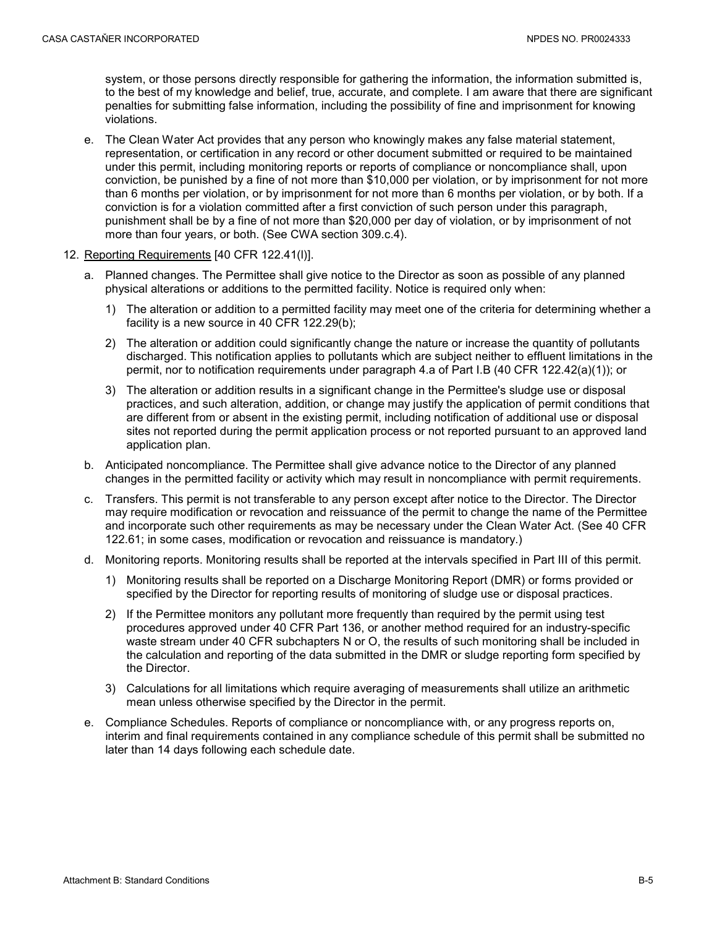system, or those persons directly responsible for gathering the information, the information submitted is, to the best of my knowledge and belief, true, accurate, and complete. I am aware that there are significant penalties for submitting false information, including the possibility of fine and imprisonment for knowing violations.

- e. The Clean Water Act provides that any person who knowingly makes any false material statement, representation, or certification in any record or other document submitted or required to be maintained under this permit, including monitoring reports or reports of compliance or noncompliance shall, upon conviction, be punished by a fine of not more than \$10,000 per violation, or by imprisonment for not more than 6 months per violation, or by imprisonment for not more than 6 months per violation, or by both. If a conviction is for a violation committed after a first conviction of such person under this paragraph, punishment shall be by a fine of not more than \$20,000 per day of violation, or by imprisonment of not more than four years, or both. (See CWA section 309.c.4).
- 12. Reporting Requirements [40 CFR 122.41(l)].
	- a. Planned changes. The Permittee shall give notice to the Director as soon as possible of any planned physical alterations or additions to the permitted facility. Notice is required only when:
		- 1) The alteration or addition to a permitted facility may meet one of the criteria for determining whether a facility is a new source in 40 CFR 122.29(b);
		- 2) The alteration or addition could significantly change the nature or increase the quantity of pollutants discharged. This notification applies to pollutants which are subject neither to effluent limitations in the permit, nor to notification requirements under paragraph 4.a of Part I.B (40 CFR 122.42(a)(1)); or
		- 3) The alteration or addition results in a significant change in the Permittee's sludge use or disposal practices, and such alteration, addition, or change may justify the application of permit conditions that are different from or absent in the existing permit, including notification of additional use or disposal sites not reported during the permit application process or not reported pursuant to an approved land application plan.
	- b. Anticipated noncompliance. The Permittee shall give advance notice to the Director of any planned changes in the permitted facility or activity which may result in noncompliance with permit requirements.
	- c. Transfers. This permit is not transferable to any person except after notice to the Director. The Director may require modification or revocation and reissuance of the permit to change the name of the Permittee and incorporate such other requirements as may be necessary under the Clean Water Act. (See 40 CFR 122.61; in some cases, modification or revocation and reissuance is mandatory.)
	- d. Monitoring reports. Monitoring results shall be reported at the intervals specified in Part III of this permit.
		- 1) Monitoring results shall be reported on a Discharge Monitoring Report (DMR) or forms provided or specified by the Director for reporting results of monitoring of sludge use or disposal practices.
		- 2) If the Permittee monitors any pollutant more frequently than required by the permit using test procedures approved under 40 CFR Part 136, or another method required for an industry-specific waste stream under 40 CFR subchapters N or O, the results of such monitoring shall be included in the calculation and reporting of the data submitted in the DMR or sludge reporting form specified by the Director.
		- 3) Calculations for all limitations which require averaging of measurements shall utilize an arithmetic mean unless otherwise specified by the Director in the permit.
	- e. Compliance Schedules. Reports of compliance or noncompliance with, or any progress reports on, interim and final requirements contained in any compliance schedule of this permit shall be submitted no later than 14 days following each schedule date.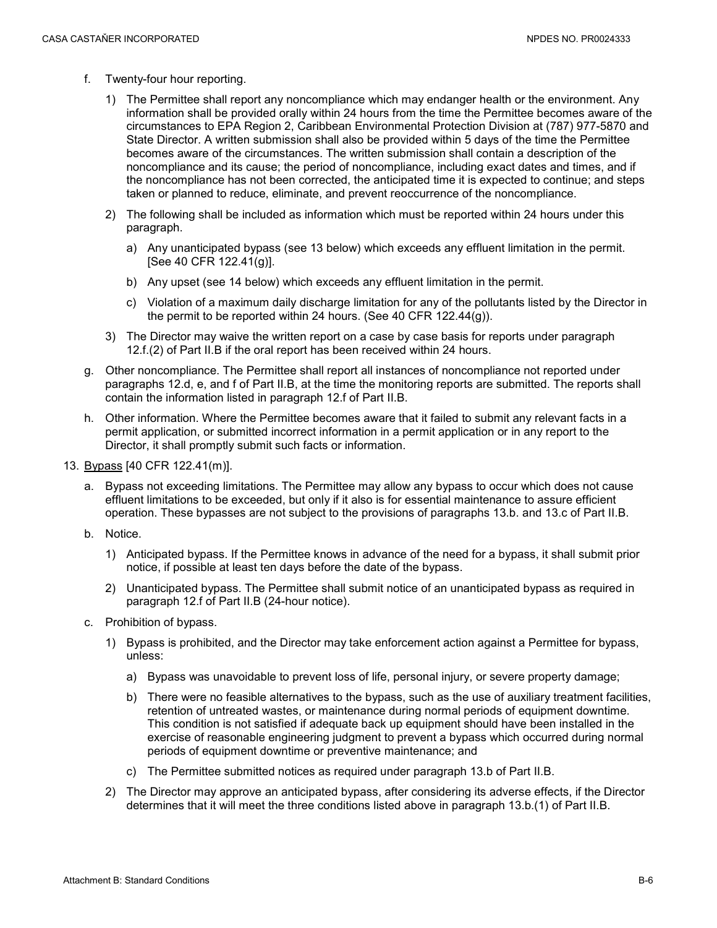- f. Twenty-four hour reporting.
	- 1) The Permittee shall report any noncompliance which may endanger health or the environment. Any information shall be provided orally within 24 hours from the time the Permittee becomes aware of the circumstances to EPA Region 2, Caribbean Environmental Protection Division at (787) 977-5870 and State Director. A written submission shall also be provided within 5 days of the time the Permittee becomes aware of the circumstances. The written submission shall contain a description of the noncompliance and its cause; the period of noncompliance, including exact dates and times, and if the noncompliance has not been corrected, the anticipated time it is expected to continue; and steps taken or planned to reduce, eliminate, and prevent reoccurrence of the noncompliance.
	- 2) The following shall be included as information which must be reported within 24 hours under this paragraph.
		- a) Any unanticipated bypass (see 13 below) which exceeds any effluent limitation in the permit. [See 40 CFR 122.41(g)].
		- b) Any upset (see 14 below) which exceeds any effluent limitation in the permit.
		- c) Violation of a maximum daily discharge limitation for any of the pollutants listed by the Director in the permit to be reported within 24 hours. (See 40 CFR 122.44(g)).
	- 3) The Director may waive the written report on a case by case basis for reports under paragraph 12.f.(2) of Part II.B if the oral report has been received within 24 hours.
- g. Other noncompliance. The Permittee shall report all instances of noncompliance not reported under paragraphs 12.d, e, and f of Part II.B, at the time the monitoring reports are submitted. The reports shall contain the information listed in paragraph 12.f of Part II.B.
- h. Other information. Where the Permittee becomes aware that it failed to submit any relevant facts in a permit application, or submitted incorrect information in a permit application or in any report to the Director, it shall promptly submit such facts or information.
- 13. Bypass [40 CFR 122.41(m)].
	- a. Bypass not exceeding limitations. The Permittee may allow any bypass to occur which does not cause effluent limitations to be exceeded, but only if it also is for essential maintenance to assure efficient operation. These bypasses are not subject to the provisions of paragraphs 13.b. and 13.c of Part II.B.
	- b. Notice.
		- 1) Anticipated bypass. If the Permittee knows in advance of the need for a bypass, it shall submit prior notice, if possible at least ten days before the date of the bypass.
		- 2) Unanticipated bypass. The Permittee shall submit notice of an unanticipated bypass as required in paragraph 12.f of Part II.B (24-hour notice).
	- c. Prohibition of bypass.
		- 1) Bypass is prohibited, and the Director may take enforcement action against a Permittee for bypass, unless:
			- a) Bypass was unavoidable to prevent loss of life, personal injury, or severe property damage;
			- b) There were no feasible alternatives to the bypass, such as the use of auxiliary treatment facilities, retention of untreated wastes, or maintenance during normal periods of equipment downtime. This condition is not satisfied if adequate back up equipment should have been installed in the exercise of reasonable engineering judgment to prevent a bypass which occurred during normal periods of equipment downtime or preventive maintenance; and
			- c) The Permittee submitted notices as required under paragraph 13.b of Part II.B.
		- 2) The Director may approve an anticipated bypass, after considering its adverse effects, if the Director determines that it will meet the three conditions listed above in paragraph 13.b.(1) of Part II.B.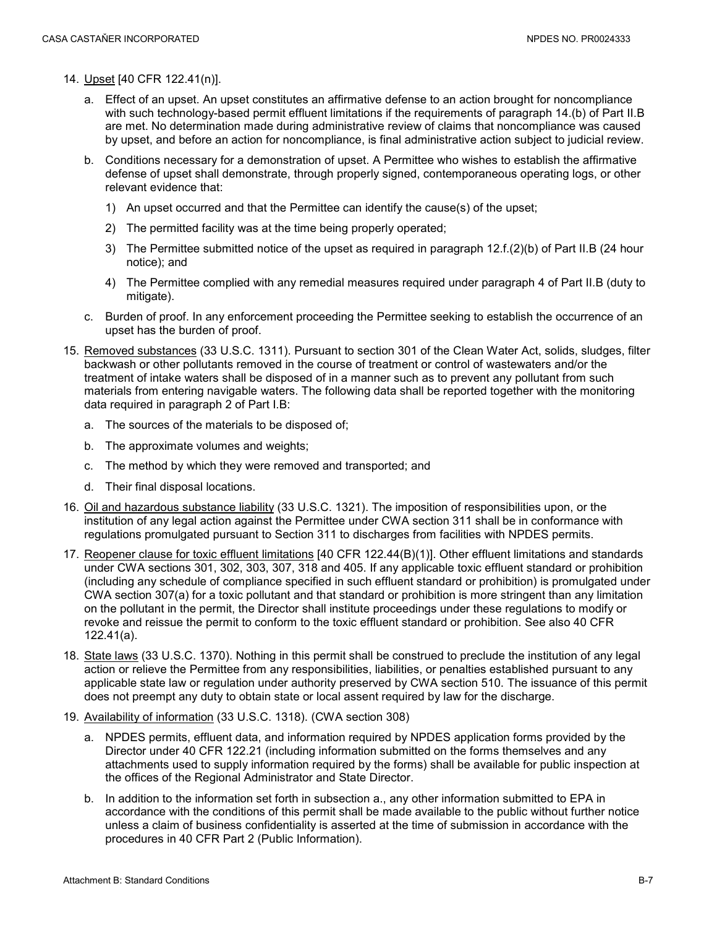- 14. Upset [40 CFR 122.41(n)].
	- a. Effect of an upset. An upset constitutes an affirmative defense to an action brought for noncompliance with such technology-based permit effluent limitations if the requirements of paragraph 14.(b) of Part II.B are met. No determination made during administrative review of claims that noncompliance was caused by upset, and before an action for noncompliance, is final administrative action subject to judicial review.
	- b. Conditions necessary for a demonstration of upset. A Permittee who wishes to establish the affirmative defense of upset shall demonstrate, through properly signed, contemporaneous operating logs, or other relevant evidence that:
		- 1) An upset occurred and that the Permittee can identify the cause(s) of the upset;
		- 2) The permitted facility was at the time being properly operated;
		- 3) The Permittee submitted notice of the upset as required in paragraph 12.f.(2)(b) of Part II.B (24 hour notice); and
		- 4) The Permittee complied with any remedial measures required under paragraph 4 of Part II.B (duty to mitigate).
	- c. Burden of proof. In any enforcement proceeding the Permittee seeking to establish the occurrence of an upset has the burden of proof.
- 15. Removed substances (33 U.S.C. 1311). Pursuant to section 301 of the Clean Water Act, solids, sludges, filter backwash or other pollutants removed in the course of treatment or control of wastewaters and/or the treatment of intake waters shall be disposed of in a manner such as to prevent any pollutant from such materials from entering navigable waters. The following data shall be reported together with the monitoring data required in paragraph 2 of Part I.B:
	- a. The sources of the materials to be disposed of;
	- b. The approximate volumes and weights;
	- c. The method by which they were removed and transported; and
	- d. Their final disposal locations.
- 16. Oil and hazardous substance liability (33 U.S.C. 1321). The imposition of responsibilities upon, or the institution of any legal action against the Permittee under CWA section 311 shall be in conformance with regulations promulgated pursuant to Section 311 to discharges from facilities with NPDES permits.
- 17. Reopener clause for toxic effluent limitations [40 CFR 122.44(B)(1)]. Other effluent limitations and standards under CWA sections 301, 302, 303, 307, 318 and 405. If any applicable toxic effluent standard or prohibition (including any schedule of compliance specified in such effluent standard or prohibition) is promulgated under CWA section 307(a) for a toxic pollutant and that standard or prohibition is more stringent than any limitation on the pollutant in the permit, the Director shall institute proceedings under these regulations to modify or revoke and reissue the permit to conform to the toxic effluent standard or prohibition. See also 40 CFR 122.41(a).
- 18. State laws (33 U.S.C. 1370). Nothing in this permit shall be construed to preclude the institution of any legal action or relieve the Permittee from any responsibilities, liabilities, or penalties established pursuant to any applicable state law or regulation under authority preserved by CWA section 510. The issuance of this permit does not preempt any duty to obtain state or local assent required by law for the discharge.
- 19. Availability of information (33 U.S.C. 1318). (CWA section 308)
	- a. NPDES permits, effluent data, and information required by NPDES application forms provided by the Director under 40 CFR 122.21 (including information submitted on the forms themselves and any attachments used to supply information required by the forms) shall be available for public inspection at the offices of the Regional Administrator and State Director.
	- b. In addition to the information set forth in subsection a., any other information submitted to EPA in accordance with the conditions of this permit shall be made available to the public without further notice unless a claim of business confidentiality is asserted at the time of submission in accordance with the procedures in 40 CFR Part 2 (Public Information).